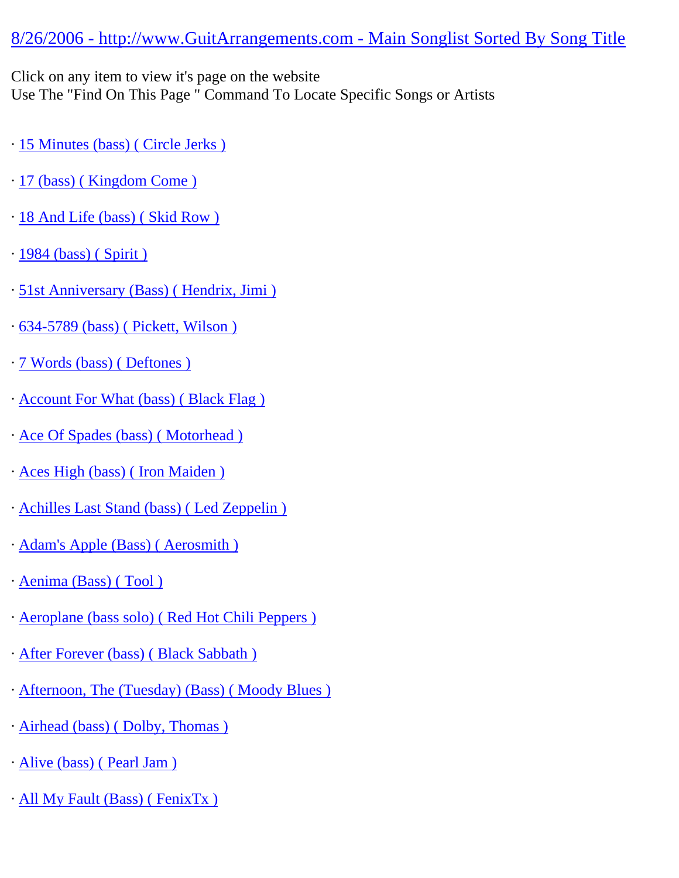## [8/26/2006 - http://www.GuitArrangements.com - Main Songlist Sorted By Song Title](http://www.guitarrangements.com/)

Click on any item to view it's page on the website

Use The "Find On This Page " Command To Locate Specific Songs or Artists

- · [15 Minutes \(bass\) \( Circle Jerks \)](http://www.guitarrangements.com/ItemPages/15Minutes(bass)(CircleJerks).html)
- · [17 \(bass\) \( Kingdom Come \)](http://www.guitarrangements.com/ItemPages/17(bass)(KingdomCome).html)
- · [18 And Life \(bass\) \( Skid Row \)](http://www.guitarrangements.com/ItemPages/18AndLife(bass)(SkidRow).html)
- · [1984 \(bass\) \( Spirit \)](http://www.guitarrangements.com/ItemPages/1984(bass)(Spirit).html)
- · [51st Anniversary \(Bass\) \( Hendrix, Jimi \)](http://www.guitarrangements.com/ItemPages/51stAnniversary(Bass)(Hendrix,Jimi).html)
- · [634-5789 \(bass\) \( Pickett, Wilson \)](http://www.guitarrangements.com/ItemPages/634-5789(bass)(Pickett,Wilson).html)
- · [7 Words \(bass\) \( Deftones \)](http://www.guitarrangements.com/ItemPages/7Words(bass)(Deftones).html)
- · [Account For What \(bass\) \( Black Flag \)](http://www.guitarrangements.com/ItemPages/AccountForWhat(bass)(BlackFlag).html)
- · [Ace Of Spades \(bass\) \( Motorhead \)](http://www.guitarrangements.com/ItemPages/AceOfSpades(bass)(Motorhead).html)
- · [Aces High \(bass\) \( Iron Maiden \)](http://www.guitarrangements.com/ItemPages/AcesHigh(bass)(IronMaiden).html)
- · [Achilles Last Stand \(bass\) \( Led Zeppelin \)](http://www.guitarrangements.com/ItemPages/AchillesLastStand(bass)(LedZeppelin).html)
- · [Adam's Apple \(Bass\) \( Aerosmith \)](http://www.guitarrangements.com/ItemPages/Adam)
- · [Aenima \(Bass\) \( Tool \)](http://www.guitarrangements.com/ItemPages/Aenima(Bass)(Tool).html)
- · [Aeroplane \(bass solo\) \( Red Hot Chili Peppers \)](http://www.guitarrangements.com/ItemPages/Aeroplane(basssolo)(RedHotChiliPeppers).html)
- · [After Forever \(bass\) \( Black Sabbath \)](http://www.guitarrangements.com/ItemPages/AfterForever(bass)(BlackSabbath).html)
- · [Afternoon, The \(Tuesday\) \(Bass\) \( Moody Blues \)](http://www.guitarrangements.com/ItemPages/Afternoon,The(Tuesday)(Bass)(MoodyBlues).html)
- · [Airhead \(bass\) \( Dolby, Thomas \)](http://www.guitarrangements.com/ItemPages/Airhead(bass)(Dolby,Thomas).html)
- · [Alive \(bass\) \( Pearl Jam \)](http://www.guitarrangements.com/ItemPages/Alive(bass)(PearlJam).html)
- · [All My Fault \(Bass\) \( FenixTx \)](http://www.guitarrangements.com/ItemPages/AllMyFault(Bass)(FenixTx).html)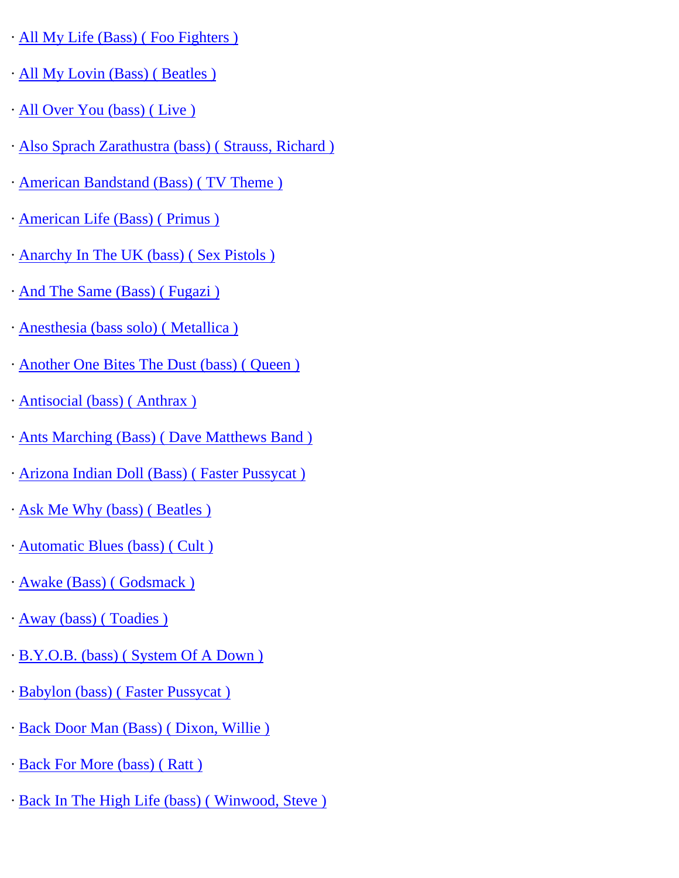- · [All My Life \(Bass\) \( Foo Fighters \)](http://www.guitarrangements.com/ItemPages/AllMyLife(Bass)(FooFighters).html)
- · [All My Lovin \(Bass\) \( Beatles \)](http://www.guitarrangements.com/ItemPages/AllMyLovin(Bass)(Beatles).html)
- · [All Over You \(bass\) \( Live \)](http://www.guitarrangements.com/ItemPages/AllOverYou(bass)(Live).html)
- · [Also Sprach Zarathustra \(bass\) \( Strauss, Richard \)](http://www.guitarrangements.com/ItemPages/AlsoSprachZarathustra(bass)(Strauss,Richard).html)
- · [American Bandstand \(Bass\) \( TV Theme \)](http://www.guitarrangements.com/ItemPages/AmericanBandstand(Bass)(TVTheme).html)
- · [American Life \(Bass\) \( Primus \)](http://www.guitarrangements.com/ItemPages/AmericanLife(Bass)(Primus).html)
- · [Anarchy In The UK \(bass\) \( Sex Pistols \)](http://www.guitarrangements.com/ItemPages/AnarchyInTheUK(bass)(SexPistols).html)
- · [And The Same \(Bass\) \( Fugazi \)](http://www.guitarrangements.com/ItemPages/AndTheSame(Bass)(Fugazi).html)
- · [Anesthesia \(bass solo\) \( Metallica \)](http://www.guitarrangements.com/ItemPages/Anesthesia(basssolo)(Metallica).html)
- · [Another One Bites The Dust \(bass\) \( Queen \)](http://www.guitarrangements.com/ItemPages/AnotherOneBitesTheDust(bass)(Queen).html)
- · [Antisocial \(bass\) \( Anthrax \)](http://www.guitarrangements.com/ItemPages/Antisocial(bass)(Anthrax).html)
- · [Ants Marching \(Bass\) \( Dave Matthews Band \)](http://www.guitarrangements.com/ItemPages/AntsMarching(Bass)(DaveMatthewsBand).html)
- · [Arizona Indian Doll \(Bass\) \( Faster Pussycat \)](http://www.guitarrangements.com/ItemPages/ArizonaIndianDoll(Bass)(FasterPussycat).html)
- · [Ask Me Why \(bass\) \( Beatles \)](http://www.guitarrangements.com/ItemPages/AskMeWhy(bass)(Beatles).html)
- · [Automatic Blues \(bass\) \( Cult \)](http://www.guitarrangements.com/ItemPages/AutomaticBlues(bass)(Cult).html)
- · [Awake \(Bass\) \( Godsmack \)](http://www.guitarrangements.com/ItemPages/Awake(Bass)(Godsmack).html)
- · [Away \(bass\) \( Toadies \)](http://www.guitarrangements.com/ItemPages/Away(bass)(Toadies).html)
- · [B.Y.O.B. \(bass\) \( System Of A Down \)](http://www.guitarrangements.com/ItemPages/B.Y.O.B.(bass)(SystemOfADown).html)
- · [Babylon \(bass\) \( Faster Pussycat \)](http://www.guitarrangements.com/ItemPages/Babylon(bass)(FasterPussycat).html)
- · [Back Door Man \(Bass\) \( Dixon, Willie \)](http://www.guitarrangements.com/ItemPages/BackDoorMan(Bass)(Dixon,Willie).html)
- · [Back For More \(bass\) \( Ratt \)](http://www.guitarrangements.com/ItemPages/BackForMore(bass)(Ratt).html)
- · [Back In The High Life \(bass\) \( Winwood, Steve \)](http://www.guitarrangements.com/ItemPages/BackInTheHighLife(bass)(Winwood,Steve).html)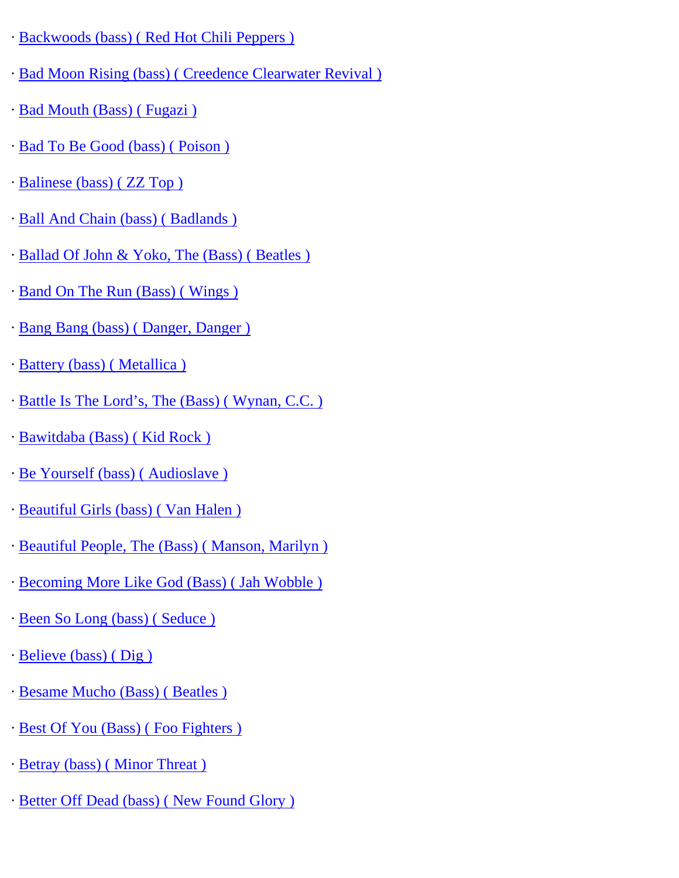- · [Backwoods \(bass\) \( Red Hot Chili Peppers \)](http://www.guitarrangements.com/ItemPages/Backwoods(bass)(RedHotChiliPeppers).html)
- · [Bad Moon Rising \(bass\) \( Creedence Clearwater Revival \)](http://www.guitarrangements.com/ItemPages/BadMoonRising(bass)(CreedenceClearwaterRevival).html)
- · [Bad Mouth \(Bass\) \( Fugazi \)](http://www.guitarrangements.com/ItemPages/BadMouth(Bass)(Fugazi).html)
- · [Bad To Be Good \(bass\) \( Poison \)](http://www.guitarrangements.com/ItemPages/BadToBeGood(bass)(Poison).html)
- · [Balinese \(bass\) \( ZZ Top \)](http://www.guitarrangements.com/ItemPages/Balinese(bass)(ZZTop).html)
- · [Ball And Chain \(bass\) \( Badlands \)](http://www.guitarrangements.com/ItemPages/BallAndChain(bass)(Badlands).html)
- · [Ballad Of John & Yoko, The \(Bass\) \( Beatles \)](http://www.guitarrangements.com/ItemPages/BalladOfJohn&Yoko,The(Bass)(Beatles).html)
- · [Band On The Run \(Bass\) \( Wings \)](http://www.guitarrangements.com/ItemPages/BandOnTheRun(Bass)(Wings).html)
- · [Bang Bang \(bass\) \( Danger, Danger \)](http://www.guitarrangements.com/ItemPages/BangBang(bass)(Danger,Danger).html)
- · [Battery \(bass\) \( Metallica \)](http://www.guitarrangements.com/ItemPages/Battery(bass)(Metallica).html)
- · [Battle Is The Lord's, The \(Bass\) \( Wynan, C.C. \)](http://www.guitarrangements.com/ItemPages/BattleIsTheLord%E2%80%99s,The(Bass)(Wynan,C.C.).html)
- · [Bawitdaba \(Bass\) \( Kid Rock \)](http://www.guitarrangements.com/ItemPages/Bawitdaba(Bass)(KidRock).html)
- · [Be Yourself \(bass\) \( Audioslave \)](http://www.guitarrangements.com/ItemPages/BeYourself(bass)(Audioslave).html)
- · [Beautiful Girls \(bass\) \( Van Halen \)](http://www.guitarrangements.com/ItemPages/BeautifulGirls(bass)(VanHalen).html)
- · [Beautiful People, The \(Bass\) \( Manson, Marilyn \)](http://www.guitarrangements.com/ItemPages/BeautifulPeople,The(Bass)(Manson,Marilyn).html)
- · [Becoming More Like God \(Bass\) \( Jah Wobble \)](http://www.guitarrangements.com/ItemPages/BecomingMoreLikeGod(Bass)(JahWobble).html)
- · [Been So Long \(bass\) \( Seduce \)](http://www.guitarrangements.com/ItemPages/BeenSoLong(bass)(Seduce).html)
- · [Believe \(bass\) \( Dig \)](http://www.guitarrangements.com/ItemPages/Believe(bass)(Dig).html)
- · [Besame Mucho \(Bass\) \( Beatles \)](http://www.guitarrangements.com/ItemPages/BesameMucho(Bass)(Beatles).html)
- · [Best Of You \(Bass\) \( Foo Fighters \)](http://www.guitarrangements.com/ItemPages/BestOfYou(Bass)(FooFighters).html)
- · [Betray \(bass\) \( Minor Threat \)](http://www.guitarrangements.com/ItemPages/Betray(bass)(MinorThreat).html)
- · [Better Off Dead \(bass\) \( New Found Glory \)](http://www.guitarrangements.com/ItemPages/BetterOffDead(bass)(NewFoundGlory).html)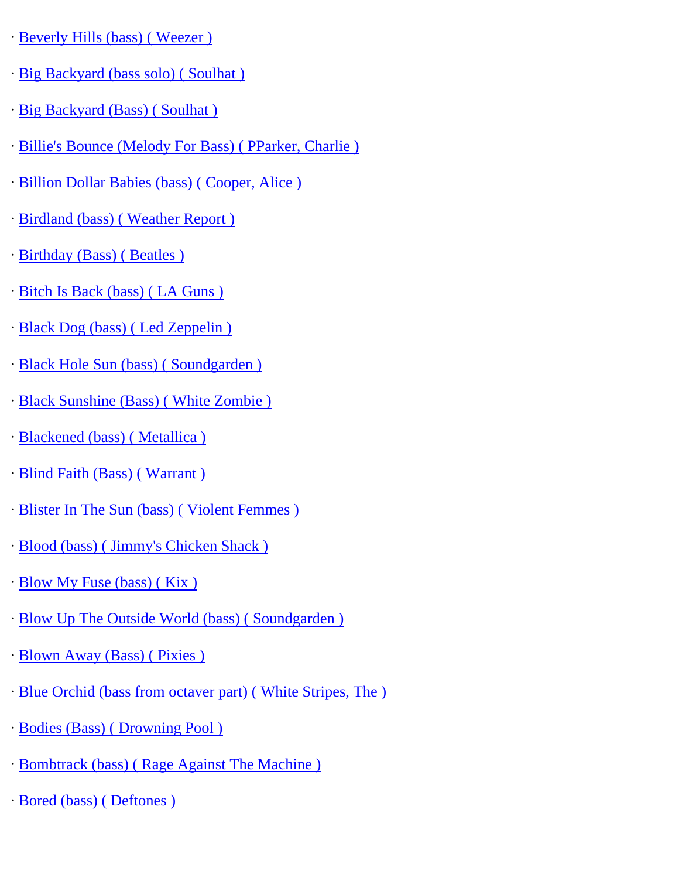- · [Beverly Hills \(bass\) \( Weezer \)](http://www.guitarrangements.com/ItemPages/BeverlyHills(bass)(Weezer).html)
- · [Big Backyard \(bass solo\) \( Soulhat \)](http://www.guitarrangements.com/ItemPages/BigBackyard(basssolo)(Soulhat).html)
- · [Big Backyard \(Bass\) \( Soulhat \)](http://www.guitarrangements.com/ItemPages/BigBackyard(Bass)(Soulhat).html)
- · [Billie's Bounce \(Melody For Bass\) \( PParker, Charlie \)](http://www.guitarrangements.com/ItemPages/Billie)
- · [Billion Dollar Babies \(bass\) \( Cooper, Alice \)](http://www.guitarrangements.com/ItemPages/BillionDollarBabies(bass)(Cooper,Alice).html)
- · [Birdland \(bass\) \( Weather Report \)](http://www.guitarrangements.com/ItemPages/Birdland(bass)(WeatherReport).html)
- · [Birthday \(Bass\) \( Beatles \)](http://www.guitarrangements.com/ItemPages/Birthday(Bass)(Beatles).html)
- · [Bitch Is Back \(bass\) \( LA Guns \)](http://www.guitarrangements.com/ItemPages/BitchIsBack(bass)(LAGuns).html)
- · [Black Dog \(bass\) \( Led Zeppelin \)](http://www.guitarrangements.com/ItemPages/BlackDog(bass)(LedZeppelin).html)
- · [Black Hole Sun \(bass\) \( Soundgarden \)](http://www.guitarrangements.com/ItemPages/BlackHoleSun(bass)(Soundgarden).html)
- · [Black Sunshine \(Bass\) \( White Zombie \)](http://www.guitarrangements.com/ItemPages/BlackSunshine(Bass)(WhiteZombie).html)
- · [Blackened \(bass\) \( Metallica \)](http://www.guitarrangements.com/ItemPages/Blackened(bass)(Metallica).html)
- · [Blind Faith \(Bass\) \( Warrant \)](http://www.guitarrangements.com/ItemPages/BlindFaith(Bass)(Warrant).html)
- · [Blister In The Sun \(bass\) \( Violent Femmes \)](http://www.guitarrangements.com/ItemPages/BlisterInTheSun(bass)(ViolentFemmes).html)
- · [Blood \(bass\) \( Jimmy's Chicken Shack \)](http://www.guitarrangements.com/ItemPages/Blood(bass)(Jimmy)
- · [Blow My Fuse \(bass\) \( Kix \)](http://www.guitarrangements.com/ItemPages/BlowMyFuse(bass)(Kix).html)
- · [Blow Up The Outside World \(bass\) \( Soundgarden \)](http://www.guitarrangements.com/ItemPages/BlowUpTheOutsideWorld(bass)(Soundgarden).html)
- · [Blown Away \(Bass\) \( Pixies \)](http://www.guitarrangements.com/ItemPages/BlownAway(Bass)(Pixies).html)
- · [Blue Orchid \(bass from octaver part\) \( White Stripes, The \)](http://www.guitarrangements.com/ItemPages/BlueOrchid(bassfromoctaverpart)(WhiteStripes,The).html)
- · [Bodies \(Bass\) \( Drowning Pool \)](http://www.guitarrangements.com/ItemPages/Bodies(Bass)(DrowningPool).html)
- · [Bombtrack \(bass\) \( Rage Against The Machine \)](http://www.guitarrangements.com/ItemPages/Bombtrack(bass)(RageAgainstTheMachine).html)
- · [Bored \(bass\) \( Deftones \)](http://www.guitarrangements.com/ItemPages/Bored(bass)(Deftones).html)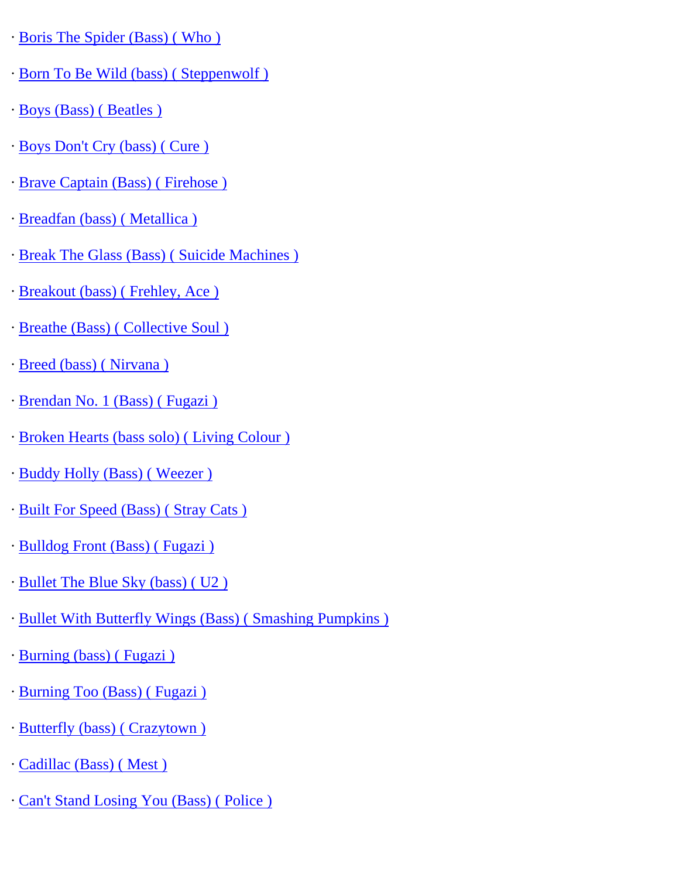- · [Boris The Spider \(Bass\) \( Who \)](http://www.guitarrangements.com/ItemPages/BorisTheSpider(Bass)(Who).html)
- · [Born To Be Wild \(bass\) \( Steppenwolf \)](http://www.guitarrangements.com/ItemPages/BornToBeWild(bass)(Steppenwolf).html)
- · [Boys \(Bass\) \( Beatles \)](http://www.guitarrangements.com/ItemPages/Boys(Bass)(Beatles).html)
- · [Boys Don't Cry \(bass\) \( Cure \)](http://www.guitarrangements.com/ItemPages/BoysDon)
- · [Brave Captain \(Bass\) \( Firehose \)](http://www.guitarrangements.com/ItemPages/BraveCaptain(Bass)(Firehose).html)
- · [Breadfan \(bass\) \( Metallica \)](http://www.guitarrangements.com/ItemPages/Breadfan(bass)(Metallica).html)
- · [Break The Glass \(Bass\) \( Suicide Machines \)](http://www.guitarrangements.com/ItemPages/BreakTheGlass(Bass)(SuicideMachines).html)
- · [Breakout \(bass\) \( Frehley, Ace \)](http://www.guitarrangements.com/ItemPages/Breakout(bass)(Frehley,Ace).html)
- · [Breathe \(Bass\) \( Collective Soul \)](http://www.guitarrangements.com/ItemPages/Breathe(Bass)(CollectiveSoul).html)
- · [Breed \(bass\) \( Nirvana \)](http://www.guitarrangements.com/ItemPages/Breed(bass)(Nirvana).html)
- · [Brendan No. 1 \(Bass\) \( Fugazi \)](http://www.guitarrangements.com/ItemPages/BrendanNo.1(Bass)(Fugazi).html)
- · [Broken Hearts \(bass solo\) \( Living Colour \)](http://www.guitarrangements.com/ItemPages/BrokenHearts(basssolo)(LivingColour).html)
- · [Buddy Holly \(Bass\) \( Weezer \)](http://www.guitarrangements.com/ItemPages/BuddyHolly(Bass)(Weezer).html)
- · [Built For Speed \(Bass\) \( Stray Cats \)](http://www.guitarrangements.com/ItemPages/BuiltForSpeed(Bass)(StrayCats).html)
- · [Bulldog Front \(Bass\) \( Fugazi \)](http://www.guitarrangements.com/ItemPages/BulldogFront(Bass)(Fugazi).html)
- · [Bullet The Blue Sky \(bass\) \( U2 \)](http://www.guitarrangements.com/ItemPages/BulletTheBlueSky(bass)(U2).html)
- · [Bullet With Butterfly Wings \(Bass\) \( Smashing Pumpkins \)](http://www.guitarrangements.com/ItemPages/BulletWithButterflyWings(Bass)(SmashingPumpkins).html)
- · [Burning \(bass\) \( Fugazi \)](http://www.guitarrangements.com/ItemPages/Burning(bass)(Fugazi).html)
- · [Burning Too \(Bass\) \( Fugazi \)](http://www.guitarrangements.com/ItemPages/BurningToo(Bass)(Fugazi).html)
- · [Butterfly \(bass\) \( Crazytown \)](http://www.guitarrangements.com/ItemPages/Butterfly(bass)(Crazytown).html)
- · [Cadillac \(Bass\) \( Mest \)](http://www.guitarrangements.com/ItemPages/Cadillac(Bass)(Mest).html)
- · [Can't Stand Losing You \(Bass\) \( Police \)](http://www.guitarrangements.com/ItemPages/Can)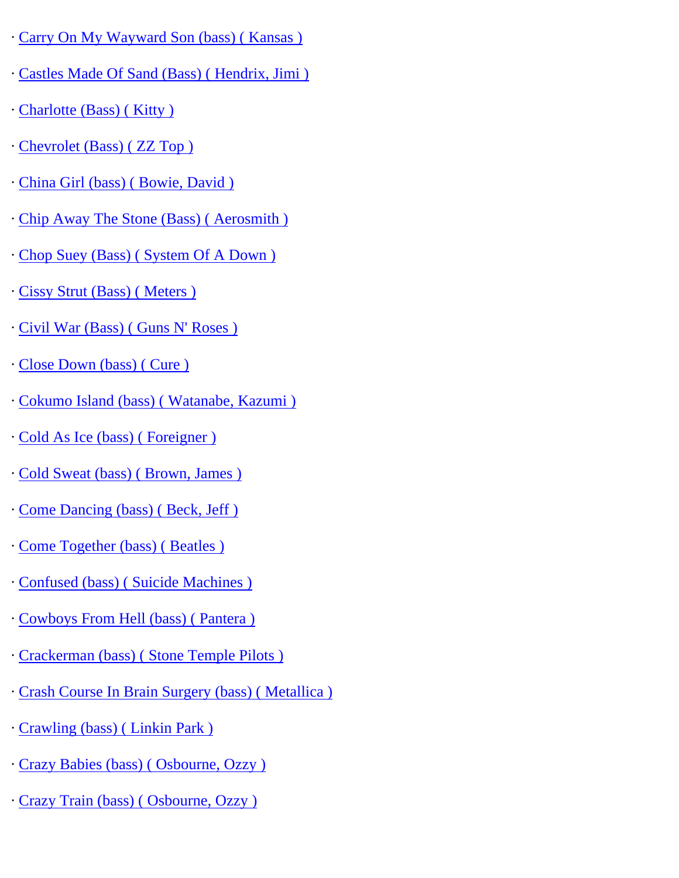- · [Carry On My Wayward Son \(bass\) \( Kansas \)](http://www.guitarrangements.com/ItemPages/CarryOnMyWaywardSon(bass)(Kansas).html)
- · [Castles Made Of Sand \(Bass\) \( Hendrix, Jimi \)](http://www.guitarrangements.com/ItemPages/CastlesMadeOfSand(Bass)(Hendrix,Jimi).html)
- · [Charlotte \(Bass\) \( Kitty \)](http://www.guitarrangements.com/ItemPages/Charlotte(Bass)(Kitty).html)
- · [Chevrolet \(Bass\) \( ZZ Top \)](http://www.guitarrangements.com/ItemPages/Chevrolet(Bass)(ZZTop).html)
- · [China Girl \(bass\) \( Bowie, David \)](http://www.guitarrangements.com/ItemPages/ChinaGirl(bass)(Bowie,David).html)
- · [Chip Away The Stone \(Bass\) \( Aerosmith \)](http://www.guitarrangements.com/ItemPages/ChipAwayTheStone(Bass)(Aerosmith).html)
- · [Chop Suey \(Bass\) \( System Of A Down \)](http://www.guitarrangements.com/ItemPages/ChopSuey(Bass)(SystemOfADown).html)
- · [Cissy Strut \(Bass\) \( Meters \)](http://www.guitarrangements.com/ItemPages/CissyStrut(Bass)(Meters).html)
- · [Civil War \(Bass\) \( Guns N' Roses \)](http://www.guitarrangements.com/ItemPages/CivilWar(Bass)(GunsN)
- · [Close Down \(bass\) \( Cure \)](http://www.guitarrangements.com/ItemPages/CloseDown(bass)(Cure).html)
- · [Cokumo Island \(bass\) \( Watanabe, Kazumi \)](http://www.guitarrangements.com/ItemPages/CokumoIsland(bass)(Watanabe,Kazumi).html)
- · [Cold As Ice \(bass\) \( Foreigner \)](http://www.guitarrangements.com/ItemPages/ColdAsIce(bass)(Foreigner).html)
- · [Cold Sweat \(bass\) \( Brown, James \)](http://www.guitarrangements.com/ItemPages/ColdSweat(bass)(Brown,James).html)
- · [Come Dancing \(bass\) \( Beck, Jeff \)](http://www.guitarrangements.com/ItemPages/ComeDancing(bass)(Beck,Jeff).html)
- · [Come Together \(bass\) \( Beatles \)](http://www.guitarrangements.com/ItemPages/ComeTogether(bass)(Beatles).html)
- · [Confused \(bass\) \( Suicide Machines \)](http://www.guitarrangements.com/ItemPages/Confused(bass)(SuicideMachines).html)
- · [Cowboys From Hell \(bass\) \( Pantera \)](http://www.guitarrangements.com/ItemPages/CowboysFromHell(bass)(Pantera).html)
- · [Crackerman \(bass\) \( Stone Temple Pilots \)](http://www.guitarrangements.com/ItemPages/Crackerman(bass)(StoneTemplePilots).html)
- · [Crash Course In Brain Surgery \(bass\) \( Metallica \)](http://www.guitarrangements.com/ItemPages/CrashCourseInBrainSurgery(bass)(Metallica).html)
- · [Crawling \(bass\) \( Linkin Park \)](http://www.guitarrangements.com/ItemPages/Crawling(bass)(LinkinPark).html)
- · [Crazy Babies \(bass\) \( Osbourne, Ozzy \)](http://www.guitarrangements.com/ItemPages/CrazyBabies(bass)(Osbourne,Ozzy).html)
- · [Crazy Train \(bass\) \( Osbourne, Ozzy \)](http://www.guitarrangements.com/ItemPages/CrazyTrain(bass)(Osbourne,Ozzy).html)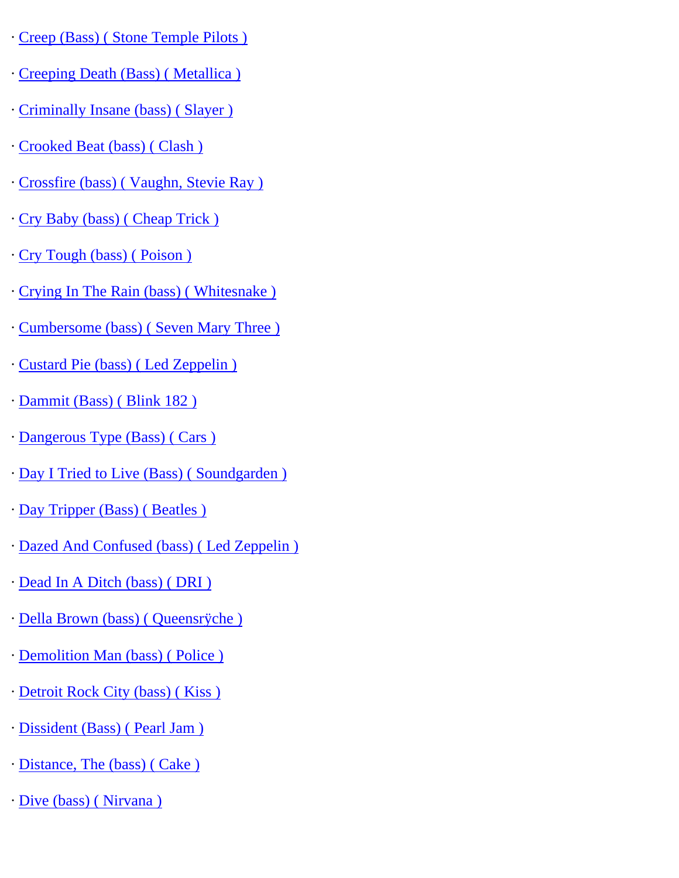- · [Creep \(Bass\) \( Stone Temple Pilots \)](http://www.guitarrangements.com/ItemPages/Creep(Bass)(StoneTemplePilots).html)
- · [Creeping Death \(Bass\) \( Metallica \)](http://www.guitarrangements.com/ItemPages/CreepingDeath(Bass)(Metallica).html)
- · [Criminally Insane \(bass\) \( Slayer \)](http://www.guitarrangements.com/ItemPages/CriminallyInsane(bass)(Slayer).html)
- · [Crooked Beat \(bass\) \( Clash \)](http://www.guitarrangements.com/ItemPages/CrookedBeat(bass)(Clash).html)
- · [Crossfire \(bass\) \( Vaughn, Stevie Ray \)](http://www.guitarrangements.com/ItemPages/Crossfire(bass)(Vaughn,StevieRay).html)
- · [Cry Baby \(bass\) \( Cheap Trick \)](http://www.guitarrangements.com/ItemPages/CryBaby(bass)(CheapTrick).html)
- · [Cry Tough \(bass\) \( Poison \)](http://www.guitarrangements.com/ItemPages/CryTough(bass)(Poison).html)
- · [Crying In The Rain \(bass\) \( Whitesnake \)](http://www.guitarrangements.com/ItemPages/CryingInTheRain(bass)(Whitesnake).html)
- · [Cumbersome \(bass\) \( Seven Mary Three \)](http://www.guitarrangements.com/ItemPages/Cumbersome(bass)(SevenMaryThree).html)
- · [Custard Pie \(bass\) \( Led Zeppelin \)](http://www.guitarrangements.com/ItemPages/CustardPie(bass)(LedZeppelin).html)
- · [Dammit \(Bass\) \( Blink 182 \)](http://www.guitarrangements.com/ItemPages/Dammit(Bass)(Blink182).html)
- · [Dangerous Type \(Bass\) \( Cars \)](http://www.guitarrangements.com/ItemPages/DangerousType(Bass)(Cars).html)
- · [Day I Tried to Live \(Bass\) \( Soundgarden \)](http://www.guitarrangements.com/ItemPages/DayITriedtoLive(Bass)(Soundgarden).html)
- · [Day Tripper \(Bass\) \( Beatles \)](http://www.guitarrangements.com/ItemPages/DayTripper(Bass)(Beatles).html)
- · [Dazed And Confused \(bass\) \( Led Zeppelin \)](http://www.guitarrangements.com/ItemPages/DazedAndConfused(bass)(LedZeppelin).html)
- · [Dead In A Ditch \(bass\) \( DRI \)](http://www.guitarrangements.com/ItemPages/DeadInADitch(bass)(DRI).html)
- · [Della Brown \(bass\) \( Queensrÿche \)](http://www.guitarrangements.com/ItemPages/DellaBrown(bass)(Queensr�che).html)
- · [Demolition Man \(bass\) \( Police \)](http://www.guitarrangements.com/ItemPages/DemolitionMan(bass)(Police).html)
- · [Detroit Rock City \(bass\) \( Kiss \)](http://www.guitarrangements.com/ItemPages/DetroitRockCity(bass)(Kiss).html)
- · [Dissident \(Bass\) \( Pearl Jam \)](http://www.guitarrangements.com/ItemPages/Dissident(Bass)(PearlJam).html)
- · [Distance, The \(bass\) \( Cake \)](http://www.guitarrangements.com/ItemPages/Distance,The(bass)(Cake).html)
- · [Dive \(bass\) \( Nirvana \)](http://www.guitarrangements.com/ItemPages/Dive(bass)(Nirvana).html)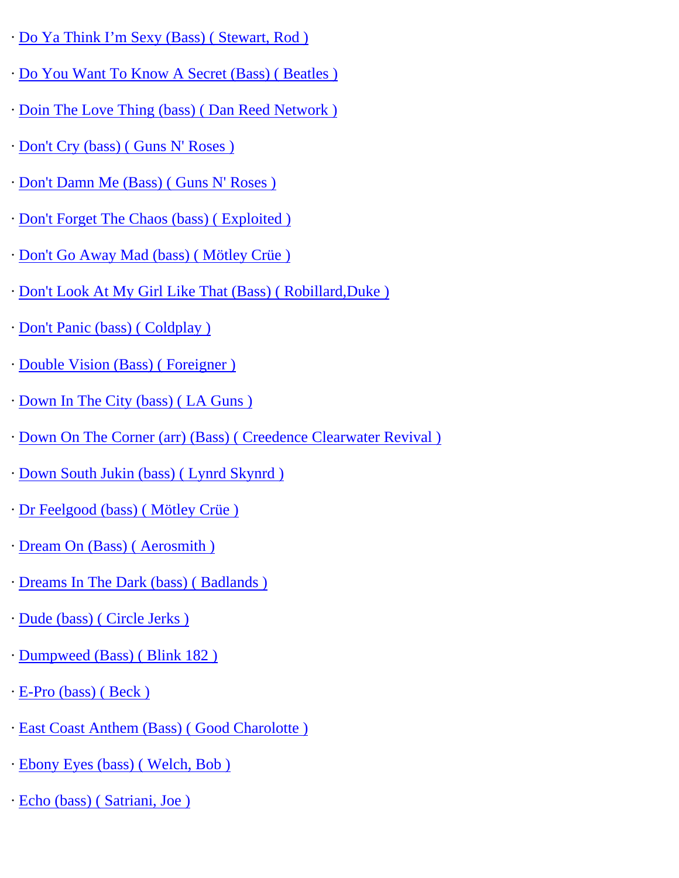- · [Do Ya Think I'm Sexy \(Bass\) \( Stewart, Rod \)](http://www.guitarrangements.com/ItemPages/DoYaThinkI%E2%80%99mSexy(Bass)(Stewart,Rod).html)
- · [Do You Want To Know A Secret \(Bass\) \( Beatles \)](http://www.guitarrangements.com/ItemPages/DoYouWantToKnowASecret(Bass)(Beatles).html)
- · [Doin The Love Thing \(bass\) \( Dan Reed Network \)](http://www.guitarrangements.com/ItemPages/DoinTheLoveThing(bass)(DanReedNetwork).html)
- · [Don't Cry \(bass\) \( Guns N' Roses \)](http://www.guitarrangements.com/ItemPages/Don)
- · [Don't Damn Me \(Bass\) \( Guns N' Roses \)](http://www.guitarrangements.com/ItemPages/Don)
- · [Don't Forget The Chaos \(bass\) \( Exploited \)](http://www.guitarrangements.com/ItemPages/Don)
- · [Don't Go Away Mad \(bass\) \( Mötley Crüe \)](http://www.guitarrangements.com/ItemPages/Don)
- · [Don't Look At My Girl Like That \(Bass\) \( Robillard,Duke \)](http://www.guitarrangements.com/ItemPages/Don)
- · [Don't Panic \(bass\) \( Coldplay \)](http://www.guitarrangements.com/ItemPages/Don)
- · [Double Vision \(Bass\) \( Foreigner \)](http://www.guitarrangements.com/ItemPages/DoubleVision(Bass)(Foreigner).html)
- · [Down In The City \(bass\) \( LA Guns \)](http://www.guitarrangements.com/ItemPages/DownInTheCity(bass)(LAGuns).html)
- · [Down On The Corner \(arr\) \(Bass\) \( Creedence Clearwater Revival \)](http://www.guitarrangements.com/ItemPages/DownOnTheCorner(arr)(Bass)(CreedenceClearwaterRevival).html)
- · [Down South Jukin \(bass\) \( Lynrd Skynrd \)](http://www.guitarrangements.com/ItemPages/DownSouthJukin(bass)(LynrdSkynrd).html)
- · [Dr Feelgood \(bass\) \( Mötley Crüe \)](http://www.guitarrangements.com/ItemPages/DrFeelgood(bass)(M�tleyCr�e).html)
- · [Dream On \(Bass\) \( Aerosmith \)](http://www.guitarrangements.com/ItemPages/DreamOn(Bass)(Aerosmith).html)
- · [Dreams In The Dark \(bass\) \( Badlands \)](http://www.guitarrangements.com/ItemPages/DreamsInTheDark(bass)(Badlands).html)
- · [Dude \(bass\) \( Circle Jerks \)](http://www.guitarrangements.com/ItemPages/Dude(bass)(CircleJerks).html)
- · [Dumpweed \(Bass\) \( Blink 182 \)](http://www.guitarrangements.com/ItemPages/Dumpweed(Bass)(Blink182).html)
- · [E-Pro \(bass\) \( Beck \)](http://www.guitarrangements.com/ItemPages/E-Pro(bass)(Beck).html)
- · [East Coast Anthem \(Bass\) \( Good Charolotte \)](http://www.guitarrangements.com/ItemPages/EastCoastAnthem(Bass)(GoodCharolotte).html)
- · [Ebony Eyes \(bass\) \( Welch, Bob \)](http://www.guitarrangements.com/ItemPages/EbonyEyes(bass)(Welch,Bob).html)
- · [Echo \(bass\) \( Satriani, Joe \)](http://www.guitarrangements.com/ItemPages/Echo(bass)(Satriani,Joe).html)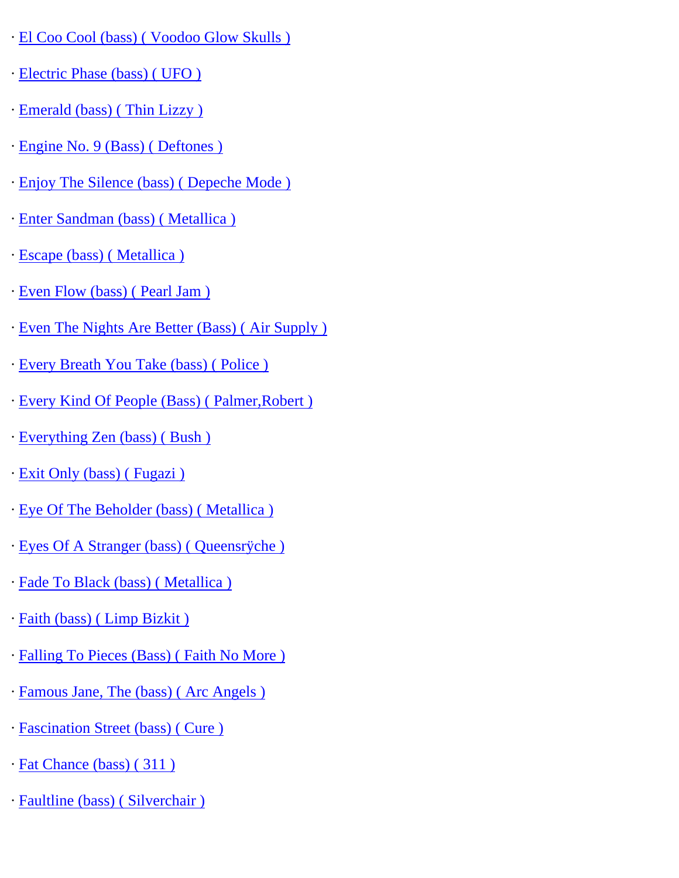- · [El Coo Cool \(bass\) \( Voodoo Glow Skulls \)](http://www.guitarrangements.com/ItemPages/ElCooCool(bass)(VoodooGlowSkulls).html)
- · [Electric Phase \(bass\) \( UFO \)](http://www.guitarrangements.com/ItemPages/ElectricPhase(bass)(UFO).html)
- · [Emerald \(bass\) \( Thin Lizzy \)](http://www.guitarrangements.com/ItemPages/Emerald(bass)(ThinLizzy).html)
- · [Engine No. 9 \(Bass\) \( Deftones \)](http://www.guitarrangements.com/ItemPages/EngineNo.9(Bass)(Deftones).html)
- · [Enjoy The Silence \(bass\) \( Depeche Mode \)](http://www.guitarrangements.com/ItemPages/EnjoyTheSilence(bass)(DepecheMode).html)
- · [Enter Sandman \(bass\) \( Metallica \)](http://www.guitarrangements.com/ItemPages/EnterSandman(bass)(Metallica).html)
- · [Escape \(bass\) \( Metallica \)](http://www.guitarrangements.com/ItemPages/Escape(bass)(Metallica).html)
- · [Even Flow \(bass\) \( Pearl Jam \)](http://www.guitarrangements.com/ItemPages/EvenFlow(bass)(PearlJam).html)
- · [Even The Nights Are Better \(Bass\) \( Air Supply \)](http://www.guitarrangements.com/ItemPages/EvenTheNightsAreBetter(Bass)(AirSupply).html)
- · [Every Breath You Take \(bass\) \( Police \)](http://www.guitarrangements.com/ItemPages/EveryBreathYouTake(bass)(Police).html)
- · [Every Kind Of People \(Bass\) \( Palmer,Robert \)](http://www.guitarrangements.com/ItemPages/EveryKindOfPeople(Bass)(Palmer,Robert).html)
- · [Everything Zen \(bass\) \( Bush \)](http://www.guitarrangements.com/ItemPages/EverythingZen(bass)(Bush).html)
- · [Exit Only \(bass\) \( Fugazi \)](http://www.guitarrangements.com/ItemPages/ExitOnly(bass)(Fugazi).html)
- · [Eye Of The Beholder \(bass\) \( Metallica \)](http://www.guitarrangements.com/ItemPages/EyeOfTheBeholder(bass)(Metallica).html)
- · [Eyes Of A Stranger \(bass\) \( Queensrÿche \)](http://www.guitarrangements.com/ItemPages/EyesOfAStranger(bass)(Queensr�che).html)
- · [Fade To Black \(bass\) \( Metallica \)](http://www.guitarrangements.com/ItemPages/FadeToBlack(bass)(Metallica).html)
- · [Faith \(bass\) \( Limp Bizkit \)](http://www.guitarrangements.com/ItemPages/Faith(bass)(LimpBizkit).html)
- · [Falling To Pieces \(Bass\) \( Faith No More \)](http://www.guitarrangements.com/ItemPages/FallingToPieces(Bass)(FaithNoMore).html)
- · [Famous Jane, The \(bass\) \( Arc Angels \)](http://www.guitarrangements.com/ItemPages/FamousJane,The(bass)(ArcAngels).html)
- · [Fascination Street \(bass\) \( Cure \)](http://www.guitarrangements.com/ItemPages/FascinationStreet(bass)(Cure).html)
- · [Fat Chance \(bass\) \( 311 \)](http://www.guitarrangements.com/ItemPages/FatChance(bass)(311).html)
- · [Faultline \(bass\) \( Silverchair \)](http://www.guitarrangements.com/ItemPages/Faultline(bass)(Silverchair).html)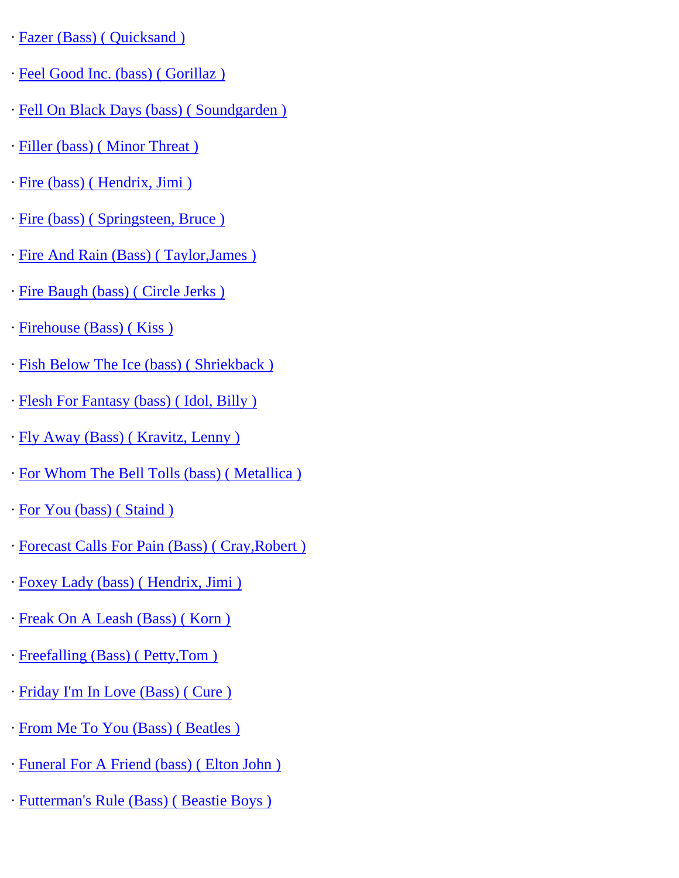· [Fazer \(Bass\) \( Quicksand \)](http://www.guitarrangements.com/ItemPages/Fazer(Bass)(Quicksand).html)

- · [Feel Good Inc. \(bass\) \( Gorillaz \)](http://www.guitarrangements.com/ItemPages/FeelGoodInc.(bass)(Gorillaz).html)
- · [Fell On Black Days \(bass\) \( Soundgarden \)](http://www.guitarrangements.com/ItemPages/FellOnBlackDays(bass)(Soundgarden).html)
- · [Filler \(bass\) \( Minor Threat \)](http://www.guitarrangements.com/ItemPages/Filler(bass)(MinorThreat).html)
- · [Fire \(bass\) \( Hendrix, Jimi \)](http://www.guitarrangements.com/ItemPages/Fire(bass)(Hendrix,Jimi).html)
- · [Fire \(bass\) \( Springsteen, Bruce \)](http://www.guitarrangements.com/ItemPages/Fire(bass)(Springsteen,Bruce).html)
- · [Fire And Rain \(Bass\) \( Taylor,James \)](http://www.guitarrangements.com/ItemPages/FireAndRain(Bass)(Taylor,James).html)
- · [Fire Baugh \(bass\) \( Circle Jerks \)](http://www.guitarrangements.com/ItemPages/FireBaugh(bass)(CircleJerks).html)
- · [Firehouse \(Bass\) \( Kiss \)](http://www.guitarrangements.com/ItemPages/Firehouse(Bass)(Kiss).html)
- · [Fish Below The Ice \(bass\) \( Shriekback \)](http://www.guitarrangements.com/ItemPages/FishBelowTheIce(bass)(Shriekback).html)
- · [Flesh For Fantasy \(bass\) \( Idol, Billy \)](http://www.guitarrangements.com/ItemPages/FleshForFantasy(bass)(Idol,Billy).html)
- · [Fly Away \(Bass\) \( Kravitz, Lenny \)](http://www.guitarrangements.com/ItemPages/FlyAway(Bass)(Kravitz,Lenny).html)
- · [For Whom The Bell Tolls \(bass\) \( Metallica \)](http://www.guitarrangements.com/ItemPages/ForWhomTheBellTolls(bass)(Metallica).html)
- · [For You \(bass\) \( Staind \)](http://www.guitarrangements.com/ItemPages/ForYou(bass)(Staind).html)
- · [Forecast Calls For Pain \(Bass\) \( Cray,Robert \)](http://www.guitarrangements.com/ItemPages/ForecastCallsForPain(Bass)(Cray,Robert).html)
- · [Foxey Lady \(bass\) \( Hendrix, Jimi \)](http://www.guitarrangements.com/ItemPages/FoxeyLady(bass)(Hendrix,Jimi).html)
- · [Freak On A Leash \(Bass\) \( Korn \)](http://www.guitarrangements.com/ItemPages/FreakOnALeash(Bass)(Korn).html)
- · [Freefalling \(Bass\) \( Petty,Tom \)](http://www.guitarrangements.com/ItemPages/Freefalling(Bass)(Petty,Tom).html)
- · [Friday I'm In Love \(Bass\) \( Cure \)](http://www.guitarrangements.com/ItemPages/FridayI)
- · [From Me To You \(Bass\) \( Beatles \)](http://www.guitarrangements.com/ItemPages/FromMeToYou(Bass)(Beatles).html)
- · [Funeral For A Friend \(bass\) \( Elton John \)](http://www.guitarrangements.com/ItemPages/FuneralForAFriend(bass)(EltonJohn).html)
- · [Futterman's Rule \(Bass\) \( Beastie Boys \)](http://www.guitarrangements.com/ItemPages/Futterman)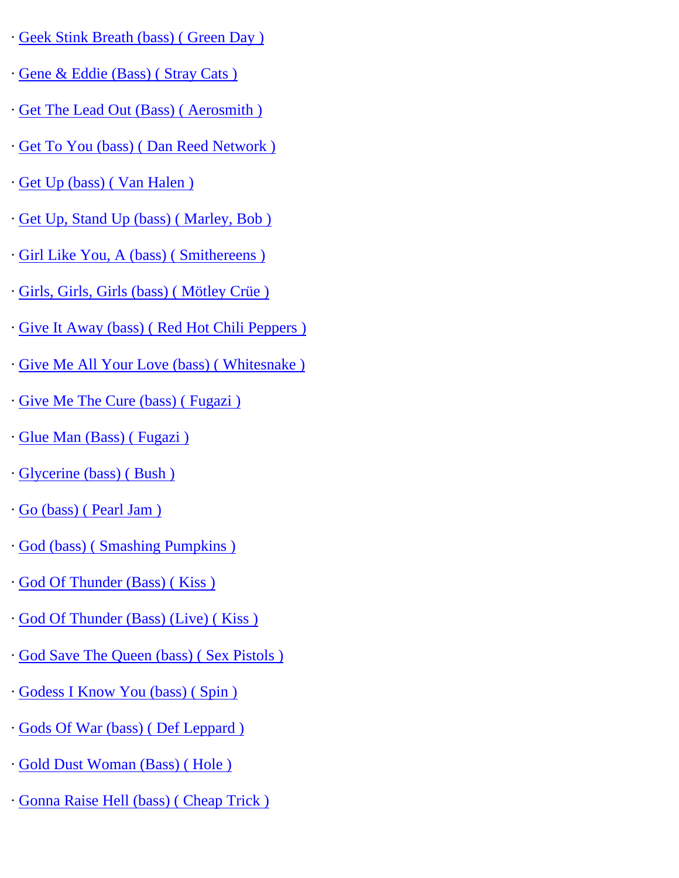- · [Geek Stink Breath \(bass\) \( Green Day \)](http://www.guitarrangements.com/ItemPages/GeekStinkBreath(bass)(GreenDay).html)
- · [Gene & Eddie \(Bass\) \( Stray Cats \)](http://www.guitarrangements.com/ItemPages/Gene&Eddie(Bass)(StrayCats).html)
- · [Get The Lead Out \(Bass\) \( Aerosmith \)](http://www.guitarrangements.com/ItemPages/GetTheLeadOut(Bass)(Aerosmith).html)
- · [Get To You \(bass\) \( Dan Reed Network \)](http://www.guitarrangements.com/ItemPages/GetToYou(bass)(DanReedNetwork).html)
- · [Get Up \(bass\) \( Van Halen \)](http://www.guitarrangements.com/ItemPages/GetUp(bass)(VanHalen).html)
- · [Get Up, Stand Up \(bass\) \( Marley, Bob \)](http://www.guitarrangements.com/ItemPages/GetUp,StandUp(bass)(Marley,Bob).html)
- · [Girl Like You, A \(bass\) \( Smithereens \)](http://www.guitarrangements.com/ItemPages/GirlLikeYou,A(bass)(Smithereens).html)
- · [Girls, Girls, Girls \(bass\) \( Mötley Crüe \)](http://www.guitarrangements.com/ItemPages/Girls,Girls,Girls(bass)(M�tleyCr�e).html)
- · [Give It Away \(bass\) \( Red Hot Chili Peppers \)](http://www.guitarrangements.com/ItemPages/GiveItAway(bass)(RedHotChiliPeppers).html)
- · [Give Me All Your Love \(bass\) \( Whitesnake \)](http://www.guitarrangements.com/ItemPages/GiveMeAllYourLove(bass)(Whitesnake).html)
- · [Give Me The Cure \(bass\) \( Fugazi \)](http://www.guitarrangements.com/ItemPages/GiveMeTheCure(bass)(Fugazi).html)
- · [Glue Man \(Bass\) \( Fugazi \)](http://www.guitarrangements.com/ItemPages/GlueMan(Bass)(Fugazi).html)
- · [Glycerine \(bass\) \( Bush \)](http://www.guitarrangements.com/ItemPages/Glycerine(bass)(Bush).html)
- · [Go \(bass\) \( Pearl Jam \)](http://www.guitarrangements.com/ItemPages/Go(bass)(PearlJam).html)
- · [God \(bass\) \( Smashing Pumpkins \)](http://www.guitarrangements.com/ItemPages/God(bass)(SmashingPumpkins).html)
- · [God Of Thunder \(Bass\) \( Kiss \)](http://www.guitarrangements.com/ItemPages/GodOfThunder(Bass)(Kiss).html)
- · [God Of Thunder \(Bass\) \(Live\) \( Kiss \)](http://www.guitarrangements.com/ItemPages/GodOfThunder(Bass)(Live)(Kiss).html)
- · [God Save The Queen \(bass\) \( Sex Pistols \)](http://www.guitarrangements.com/ItemPages/GodSaveTheQueen(bass)(SexPistols).html)
- · [Godess I Know You \(bass\) \( Spin \)](http://www.guitarrangements.com/ItemPages/GodessIKnowYou(bass)(Spin).html)
- · [Gods Of War \(bass\) \( Def Leppard \)](http://www.guitarrangements.com/ItemPages/GodsOfWar(bass)(DefLeppard).html)
- · [Gold Dust Woman \(Bass\) \( Hole \)](http://www.guitarrangements.com/ItemPages/GoldDustWoman(Bass)(Hole).html)
- · [Gonna Raise Hell \(bass\) \( Cheap Trick \)](http://www.guitarrangements.com/ItemPages/GonnaRaiseHell(bass)(CheapTrick).html)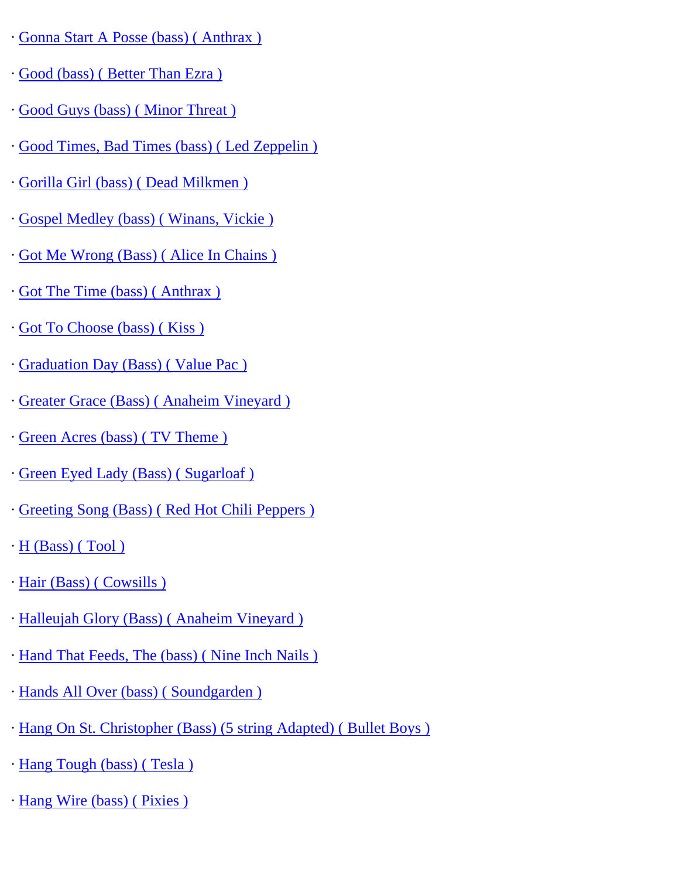- · [Gonna Start A Posse \(bass\) \( Anthrax \)](http://www.guitarrangements.com/ItemPages/GonnaStartAPosse(bass)(Anthrax).html)
- · [Good \(bass\) \( Better Than Ezra \)](http://www.guitarrangements.com/ItemPages/Good(bass)(BetterThanEzra).html)
- · [Good Guys \(bass\) \( Minor Threat \)](http://www.guitarrangements.com/ItemPages/GoodGuys(bass)(MinorThreat).html)
- · [Good Times, Bad Times \(bass\) \( Led Zeppelin \)](http://www.guitarrangements.com/ItemPages/GoodTimes,BadTimes(bass)(LedZeppelin).html)
- · [Gorilla Girl \(bass\) \( Dead Milkmen \)](http://www.guitarrangements.com/ItemPages/GorillaGirl(bass)(DeadMilkmen).html)
- · [Gospel Medley \(bass\) \( Winans, Vickie \)](http://www.guitarrangements.com/ItemPages/GospelMedley(bass)(Winans,Vickie).html)
- · [Got Me Wrong \(Bass\) \( Alice In Chains \)](http://www.guitarrangements.com/ItemPages/GotMeWrong(Bass)(AliceInChains).html)
- · [Got The Time \(bass\) \( Anthrax \)](http://www.guitarrangements.com/ItemPages/GotTheTime(bass)(Anthrax).html)
- · [Got To Choose \(bass\) \( Kiss \)](http://www.guitarrangements.com/ItemPages/GotToChoose(bass)(Kiss).html)
- · [Graduation Day \(Bass\) \( Value Pac \)](http://www.guitarrangements.com/ItemPages/GraduationDay(Bass)(ValuePac).html)
- · [Greater Grace \(Bass\) \( Anaheim Vineyard \)](http://www.guitarrangements.com/ItemPages/GreaterGrace(Bass)(AnaheimVineyard).html)
- · [Green Acres \(bass\) \( TV Theme \)](http://www.guitarrangements.com/ItemPages/GreenAcres(bass)(TVTheme).html)
- · [Green Eyed Lady \(Bass\) \( Sugarloaf \)](http://www.guitarrangements.com/ItemPages/GreenEyedLady(Bass)(Sugarloaf).html)
- · [Greeting Song \(Bass\) \( Red Hot Chili Peppers \)](http://www.guitarrangements.com/ItemPages/GreetingSong(Bass)(RedHotChiliPeppers).html)
- $\cdot$  H (Bass) (Tool)
- · [Hair \(Bass\) \( Cowsills \)](http://www.guitarrangements.com/ItemPages/Hair(Bass)(Cowsills).html)
- · [Halleujah Glory \(Bass\) \( Anaheim Vineyard \)](http://www.guitarrangements.com/ItemPages/HalleujahGlory(Bass)(AnaheimVineyard).html)
- · [Hand That Feeds, The \(bass\) \( Nine Inch Nails \)](http://www.guitarrangements.com/ItemPages/HandThatFeeds,The(bass)(NineInchNails).html)
- · [Hands All Over \(bass\) \( Soundgarden \)](http://www.guitarrangements.com/ItemPages/HandsAllOver(bass)(Soundgarden).html)
- · [Hang On St. Christopher \(Bass\) \(5 string Adapted\) \( Bullet Boys \)](http://www.guitarrangements.com/ItemPages/HangOnSt.Christopher(Bass)(5stringAdapted)(BulletBoys).html)
- · [Hang Tough \(bass\) \( Tesla \)](http://www.guitarrangements.com/ItemPages/HangTough(bass)(Tesla).html)
- · [Hang Wire \(bass\) \( Pixies \)](http://www.guitarrangements.com/ItemPages/HangWire(bass)(Pixies).html)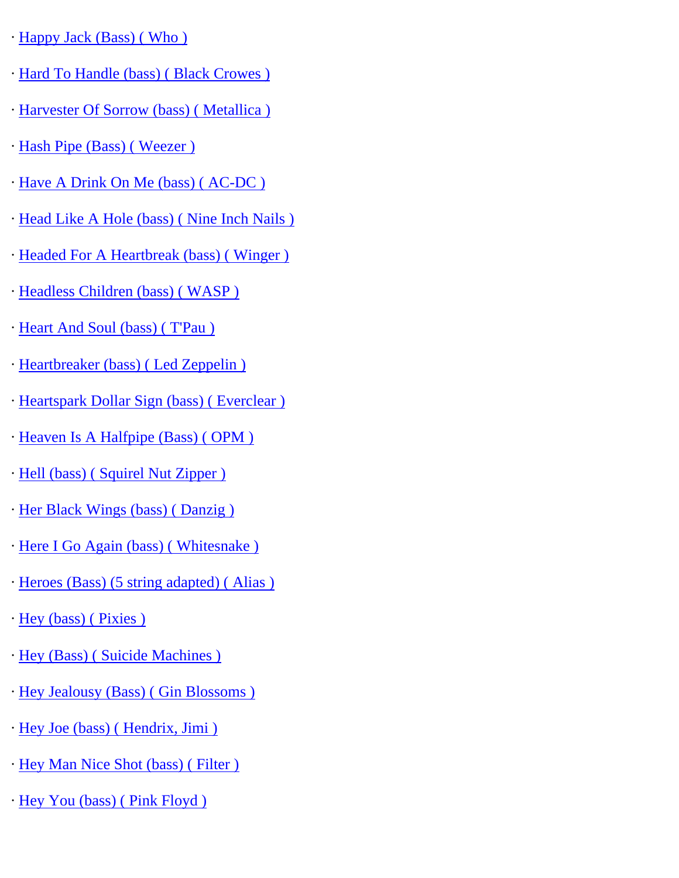- · [Happy Jack \(Bass\) \( Who \)](http://www.guitarrangements.com/ItemPages/HappyJack(Bass)(Who).html)
- · [Hard To Handle \(bass\) \( Black Crowes \)](http://www.guitarrangements.com/ItemPages/HardToHandle(bass)(BlackCrowes).html)
- · [Harvester Of Sorrow \(bass\) \( Metallica \)](http://www.guitarrangements.com/ItemPages/HarvesterOfSorrow(bass)(Metallica).html)
- · [Hash Pipe \(Bass\) \( Weezer \)](http://www.guitarrangements.com/ItemPages/HashPipe(Bass)(Weezer).html)
- · [Have A Drink On Me \(bass\) \( AC-DC \)](http://www.guitarrangements.com/ItemPages/HaveADrinkOnMe(bass)(AC-DC).html)
- · [Head Like A Hole \(bass\) \( Nine Inch Nails \)](http://www.guitarrangements.com/ItemPages/HeadLikeAHole(bass)(NineInchNails).html)
- · [Headed For A Heartbreak \(bass\) \( Winger \)](http://www.guitarrangements.com/ItemPages/HeadedForAHeartbreak(bass)(Winger).html)
- · [Headless Children \(bass\) \( WASP \)](http://www.guitarrangements.com/ItemPages/HeadlessChildren(bass)(WASP).html)
- · [Heart And Soul \(bass\) \( T'Pau \)](http://www.guitarrangements.com/ItemPages/HeartAndSoul(bass)(T)
- · [Heartbreaker \(bass\) \( Led Zeppelin \)](http://www.guitarrangements.com/ItemPages/Heartbreaker(bass)(LedZeppelin).html)
- · [Heartspark Dollar Sign \(bass\) \( Everclear \)](http://www.guitarrangements.com/ItemPages/HeartsparkDollarSign(bass)(Everclear).html)
- · [Heaven Is A Halfpipe \(Bass\) \( OPM \)](http://www.guitarrangements.com/ItemPages/HeavenIsAHalfpipe(Bass)(OPM).html)
- · [Hell \(bass\) \( Squirel Nut Zipper \)](http://www.guitarrangements.com/ItemPages/Hell(bass)(SquirelNutZipper).html)
- · [Her Black Wings \(bass\) \( Danzig \)](http://www.guitarrangements.com/ItemPages/HerBlackWings(bass)(Danzig).html)
- · [Here I Go Again \(bass\) \( Whitesnake \)](http://www.guitarrangements.com/ItemPages/HereIGoAgain(bass)(Whitesnake).html)
- · [Heroes \(Bass\) \(5 string adapted\) \( Alias \)](http://www.guitarrangements.com/ItemPages/Heroes(Bass)(5stringadapted)(Alias).html)
- · [Hey \(bass\) \( Pixies \)](http://www.guitarrangements.com/ItemPages/Hey(bass)(Pixies).html)
- · [Hey \(Bass\) \( Suicide Machines \)](http://www.guitarrangements.com/ItemPages/Hey(Bass)(SuicideMachines).html)
- · [Hey Jealousy \(Bass\) \( Gin Blossoms \)](http://www.guitarrangements.com/ItemPages/HeyJealousy(Bass)(GinBlossoms).html)
- · [Hey Joe \(bass\) \( Hendrix, Jimi \)](http://www.guitarrangements.com/ItemPages/HeyJoe(bass)(Hendrix,Jimi).html)
- · [Hey Man Nice Shot \(bass\) \( Filter \)](http://www.guitarrangements.com/ItemPages/HeyManNiceShot(bass)(Filter).html)
- · [Hey You \(bass\) \( Pink Floyd \)](http://www.guitarrangements.com/ItemPages/HeyYou(bass)(PinkFloyd).html)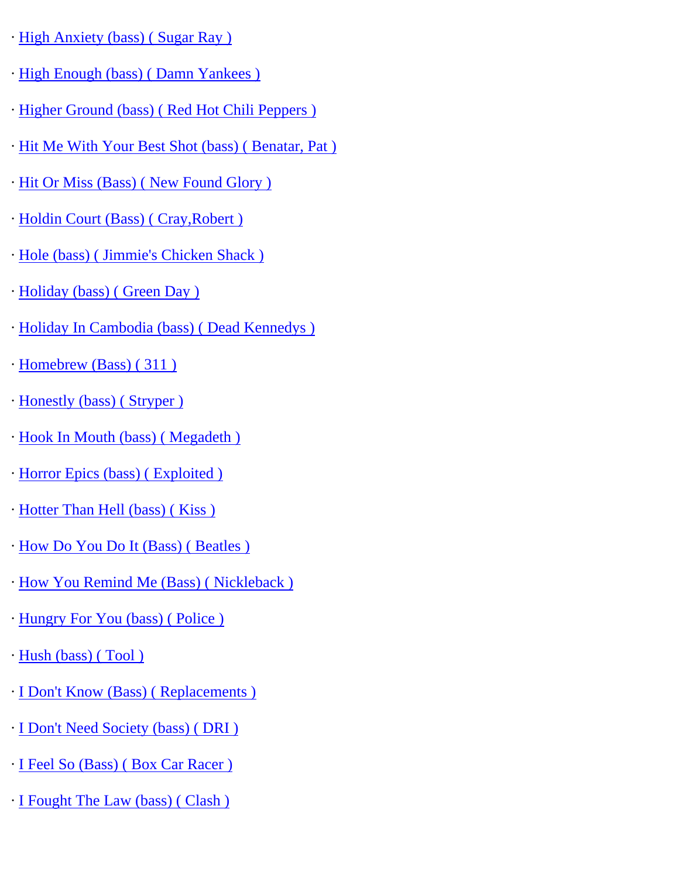- · [High Anxiety \(bass\) \( Sugar Ray \)](http://www.guitarrangements.com/ItemPages/HighAnxiety(bass)(SugarRay).html)
- · [High Enough \(bass\) \( Damn Yankees \)](http://www.guitarrangements.com/ItemPages/HighEnough(bass)(DamnYankees).html)
- · [Higher Ground \(bass\) \( Red Hot Chili Peppers \)](http://www.guitarrangements.com/ItemPages/HigherGround(bass)(RedHotChiliPeppers).html)
- · [Hit Me With Your Best Shot \(bass\) \( Benatar, Pat \)](http://www.guitarrangements.com/ItemPages/HitMeWithYourBestShot(bass)(Benatar,Pat).html)
- · [Hit Or Miss \(Bass\) \( New Found Glory \)](http://www.guitarrangements.com/ItemPages/HitOrMiss(Bass)(NewFoundGlory).html)
- · [Holdin Court \(Bass\) \( Cray,Robert \)](http://www.guitarrangements.com/ItemPages/HoldinCourt(Bass)(Cray,Robert).html)
- · [Hole \(bass\) \( Jimmie's Chicken Shack \)](http://www.guitarrangements.com/ItemPages/Hole(bass)(Jimmie)
- · [Holiday \(bass\) \( Green Day \)](http://www.guitarrangements.com/ItemPages/Holiday(bass)(GreenDay).html)
- · [Holiday In Cambodia \(bass\) \( Dead Kennedys \)](http://www.guitarrangements.com/ItemPages/HolidayInCambodia(bass)(DeadKennedys).html)
- · [Homebrew \(Bass\) \( 311 \)](http://www.guitarrangements.com/ItemPages/Homebrew(Bass)(311).html)
- · [Honestly \(bass\) \( Stryper \)](http://www.guitarrangements.com/ItemPages/Honestly(bass)(Stryper).html)
- · [Hook In Mouth \(bass\) \( Megadeth \)](http://www.guitarrangements.com/ItemPages/HookInMouth(bass)(Megadeth).html)
- · [Horror Epics \(bass\) \( Exploited \)](http://www.guitarrangements.com/ItemPages/HorrorEpics(bass)(Exploited).html)
- · [Hotter Than Hell \(bass\) \( Kiss \)](http://www.guitarrangements.com/ItemPages/HotterThanHell(bass)(Kiss).html)
- · [How Do You Do It \(Bass\) \( Beatles \)](http://www.guitarrangements.com/ItemPages/HowDoYouDoIt(Bass)(Beatles).html)
- · [How You Remind Me \(Bass\) \( Nickleback \)](http://www.guitarrangements.com/ItemPages/HowYouRemindMe(Bass)(Nickleback).html)
- · [Hungry For You \(bass\) \( Police \)](http://www.guitarrangements.com/ItemPages/HungryForYou(bass)(Police).html)
- · [Hush \(bass\) \( Tool \)](http://www.guitarrangements.com/ItemPages/Hush(bass)(Tool).html)
- · [I Don't Know \(Bass\) \( Replacements \)](http://www.guitarrangements.com/ItemPages/IDon)
- · [I Don't Need Society \(bass\) \( DRI \)](http://www.guitarrangements.com/ItemPages/IDon)
- · [I Feel So \(Bass\) \( Box Car Racer \)](http://www.guitarrangements.com/ItemPages/IFeelSo(Bass)(BoxCarRacer).html)
- · [I Fought The Law \(bass\) \( Clash \)](http://www.guitarrangements.com/ItemPages/IFoughtTheLaw(bass)(Clash).html)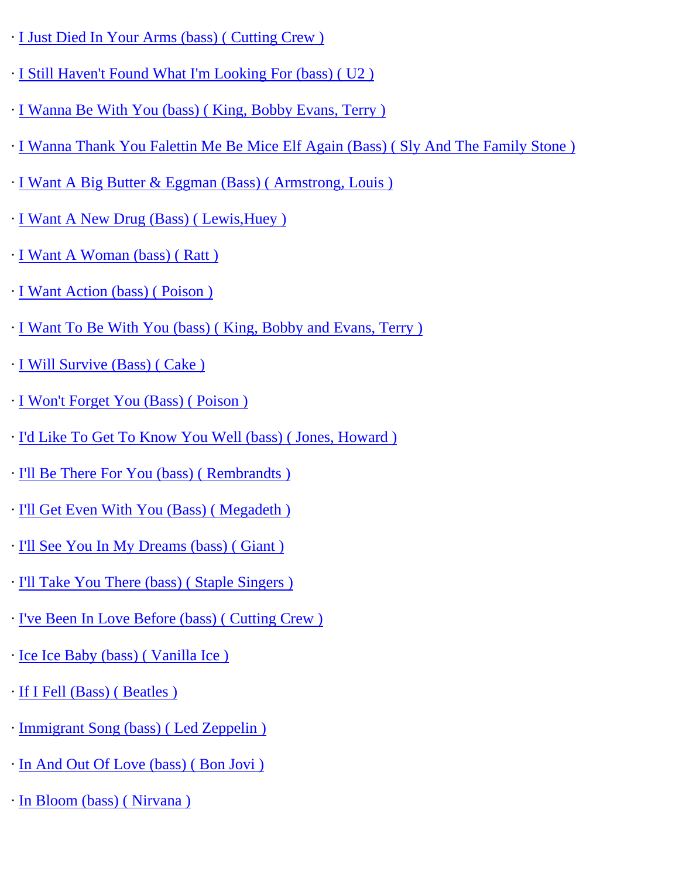- · [I Just Died In Your Arms \(bass\) \( Cutting Crew \)](http://www.guitarrangements.com/ItemPages/IJustDiedInYourArms(bass)(CuttingCrew).html)
- · [I Still Haven't Found What I'm Looking For \(bass\) \( U2 \)](http://www.guitarrangements.com/ItemPages/IStillHaven)
- · [I Wanna Be With You \(bass\) \( King, Bobby Evans, Terry \)](http://www.guitarrangements.com/ItemPages/IWannaBeWithYou(bass)(King,BobbyEvans,Terry).html)
- · [I Wanna Thank You Falettin Me Be Mice Elf Again \(Bass\) \( Sly And The Family Stone \)](http://www.guitarrangements.com/ItemPages/IWannaThankYouFalettinMeBeMiceElfAgain(Bass)(SlyAndTheFamilyStone).html)
- · [I Want A Big Butter & Eggman \(Bass\) \( Armstrong, Louis \)](http://www.guitarrangements.com/ItemPages/IWantABigButter&Eggman(Bass)(Armstrong,Louis).html)
- · [I Want A New Drug \(Bass\) \( Lewis,Huey \)](http://www.guitarrangements.com/ItemPages/IWantANewDrug(Bass)(Lewis,Huey).html)
- · [I Want A Woman \(bass\) \( Ratt \)](http://www.guitarrangements.com/ItemPages/IWantAWoman(bass)(Ratt).html)
- · [I Want Action \(bass\) \( Poison \)](http://www.guitarrangements.com/ItemPages/IWantAction(bass)(Poison).html)
- · [I Want To Be With You \(bass\) \( King, Bobby and Evans, Terry \)](http://www.guitarrangements.com/ItemPages/IWantToBeWithYou(bass)(King,BobbyandEvans,Terry).html)
- · [I Will Survive \(Bass\) \( Cake \)](http://www.guitarrangements.com/ItemPages/IWillSurvive(Bass)(Cake).html)
- · [I Won't Forget You \(Bass\) \( Poison \)](http://www.guitarrangements.com/ItemPages/IWon)
- · [I'd Like To Get To Know You Well \(bass\) \( Jones, Howard \)](http://www.guitarrangements.com/ItemPages/I)
- · [I'll Be There For You \(bass\) \( Rembrandts \)](http://www.guitarrangements.com/ItemPages/I)
- · [I'll Get Even With You \(Bass\) \( Megadeth \)](http://www.guitarrangements.com/ItemPages/I)
- · [I'll See You In My Dreams \(bass\) \( Giant \)](http://www.guitarrangements.com/ItemPages/I)
- · [I'll Take You There \(bass\) \( Staple Singers \)](http://www.guitarrangements.com/ItemPages/I)
- · [I've Been In Love Before \(bass\) \( Cutting Crew \)](http://www.guitarrangements.com/ItemPages/I)
- · [Ice Ice Baby \(bass\) \( Vanilla Ice \)](http://www.guitarrangements.com/ItemPages/IceIceBaby(bass)(VanillaIce).html)
- · [If I Fell \(Bass\) \( Beatles \)](http://www.guitarrangements.com/ItemPages/IfIFell(Bass)(Beatles).html)
- · [Immigrant Song \(bass\) \( Led Zeppelin \)](http://www.guitarrangements.com/ItemPages/ImmigrantSong(bass)(LedZeppelin).html)
- · [In And Out Of Love \(bass\) \( Bon Jovi \)](http://www.guitarrangements.com/ItemPages/InAndOutOfLove(bass)(BonJovi).html)
- · [In Bloom \(bass\) \( Nirvana \)](http://www.guitarrangements.com/ItemPages/InBloom(bass)(Nirvana).html)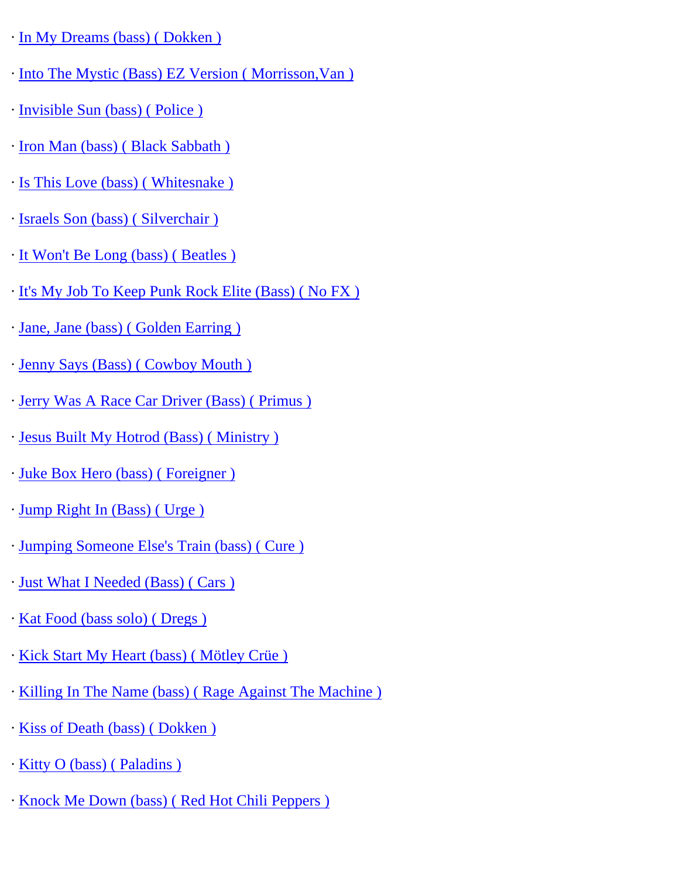- · [In My Dreams \(bass\) \( Dokken \)](http://www.guitarrangements.com/ItemPages/InMyDreams(bass)(Dokken).html)
- · [Into The Mystic \(Bass\) EZ Version \( Morrisson,Van \)](http://www.guitarrangements.com/ItemPages/IntoTheMystic(Bass)EZVersion(Morrisson,Van).html)
- · [Invisible Sun \(bass\) \( Police \)](http://www.guitarrangements.com/ItemPages/InvisibleSun(bass)(Police).html)
- · [Iron Man \(bass\) \( Black Sabbath \)](http://www.guitarrangements.com/ItemPages/IronMan(bass)(BlackSabbath).html)
- · [Is This Love \(bass\) \( Whitesnake \)](http://www.guitarrangements.com/ItemPages/IsThisLove(bass)(Whitesnake).html)
- · [Israels Son \(bass\) \( Silverchair \)](http://www.guitarrangements.com/ItemPages/IsraelsSon(bass)(Silverchair).html)
- · [It Won't Be Long \(bass\) \( Beatles \)](http://www.guitarrangements.com/ItemPages/ItWon)
- · [It's My Job To Keep Punk Rock Elite \(Bass\) \( No FX \)](http://www.guitarrangements.com/ItemPages/It)
- · [Jane, Jane \(bass\) \( Golden Earring \)](http://www.guitarrangements.com/ItemPages/Jane,Jane(bass)(GoldenEarring).html)
- · [Jenny Says \(Bass\) \( Cowboy Mouth \)](http://www.guitarrangements.com/ItemPages/JennySays(Bass)(CowboyMouth).html)
- · [Jerry Was A Race Car Driver \(Bass\) \( Primus \)](http://www.guitarrangements.com/ItemPages/JerryWasARaceCarDriver(Bass)(Primus).html)
- · [Jesus Built My Hotrod \(Bass\) \( Ministry \)](http://www.guitarrangements.com/ItemPages/JesusBuiltMyHotrod(Bass)(Ministry).html)
- · [Juke Box Hero \(bass\) \( Foreigner \)](http://www.guitarrangements.com/ItemPages/JukeBoxHero(bass)(Foreigner).html)
- · [Jump Right In \(Bass\) \( Urge \)](http://www.guitarrangements.com/ItemPages/JumpRightIn(Bass)(Urge).html)
- · [Jumping Someone Else's Train \(bass\) \( Cure \)](http://www.guitarrangements.com/ItemPages/JumpingSomeoneElse)
- · [Just What I Needed \(Bass\) \( Cars \)](http://www.guitarrangements.com/ItemPages/JustWhatINeeded(Bass)(Cars).html)
- · [Kat Food \(bass solo\) \( Dregs \)](http://www.guitarrangements.com/ItemPages/KatFood(basssolo)(Dregs).html)
- · [Kick Start My Heart \(bass\) \( Mötley Crüe \)](http://www.guitarrangements.com/ItemPages/KickStartMyHeart(bass)(M�tleyCr�e).html)
- · [Killing In The Name \(bass\) \( Rage Against The Machine \)](http://www.guitarrangements.com/ItemPages/KillingInTheName(bass)(RageAgainstTheMachine).html)
- · [Kiss of Death \(bass\) \( Dokken \)](http://www.guitarrangements.com/ItemPages/KissofDeath(bass)(Dokken).html)
- · [Kitty O \(bass\) \( Paladins \)](http://www.guitarrangements.com/ItemPages/KittyO(bass)(Paladins).html)
- · [Knock Me Down \(bass\) \( Red Hot Chili Peppers \)](http://www.guitarrangements.com/ItemPages/KnockMeDown(bass)(RedHotChiliPeppers).html)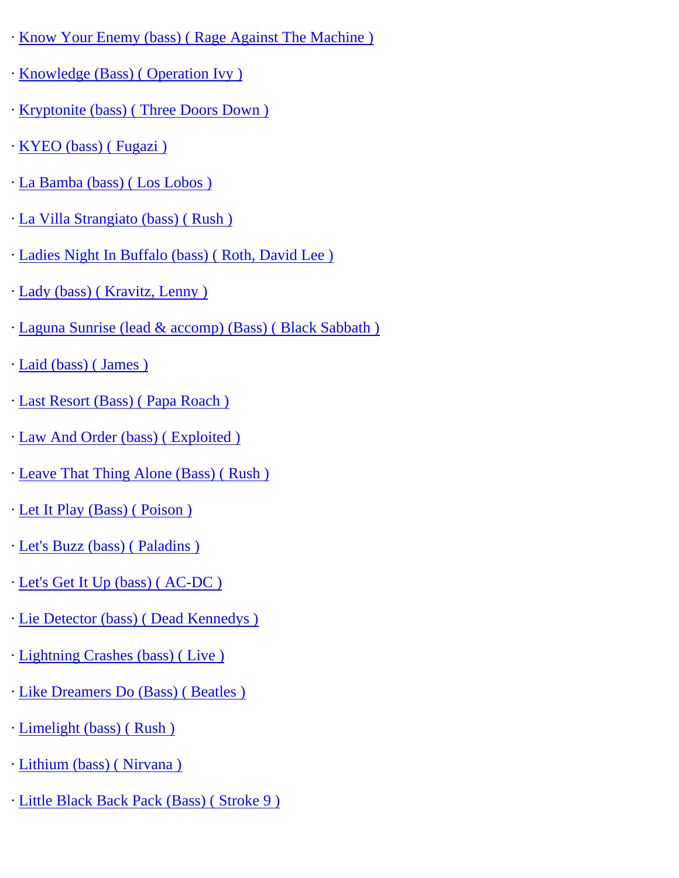- · [Know Your Enemy \(bass\) \( Rage Against The Machine \)](http://www.guitarrangements.com/ItemPages/KnowYourEnemy(bass)(RageAgainstTheMachine).html)
- · [Knowledge \(Bass\) \( Operation Ivy \)](http://www.guitarrangements.com/ItemPages/Knowledge(Bass)(OperationIvy).html)
- · [Kryptonite \(bass\) \( Three Doors Down \)](http://www.guitarrangements.com/ItemPages/Kryptonite(bass)(ThreeDoorsDown).html)
- · [KYEO \(bass\) \( Fugazi \)](http://www.guitarrangements.com/ItemPages/KYEO(bass)(Fugazi).html)
- · [La Bamba \(bass\) \( Los Lobos \)](http://www.guitarrangements.com/ItemPages/LaBamba(bass)(LosLobos).html)
- · [La Villa Strangiato \(bass\) \( Rush \)](http://www.guitarrangements.com/ItemPages/LaVillaStrangiato(bass)(Rush).html)
- · [Ladies Night In Buffalo \(bass\) \( Roth, David Lee \)](http://www.guitarrangements.com/ItemPages/LadiesNightInBuffalo(bass)(Roth,DavidLee).html)
- · [Lady \(bass\) \( Kravitz, Lenny \)](http://www.guitarrangements.com/ItemPages/Lady(bass)(Kravitz,Lenny).html)
- · [Laguna Sunrise \(lead & accomp\) \(Bass\) \( Black Sabbath \)](http://www.guitarrangements.com/ItemPages/LagunaSunrise(lead&accomp)(Bass)(BlackSabbath).html)
- · [Laid \(bass\) \( James \)](http://www.guitarrangements.com/ItemPages/Laid(bass)(James).html)
- · [Last Resort \(Bass\) \( Papa Roach \)](http://www.guitarrangements.com/ItemPages/LastResort(Bass)(PapaRoach).html)
- · [Law And Order \(bass\) \( Exploited \)](http://www.guitarrangements.com/ItemPages/LawAndOrder(bass)(Exploited).html)
- · [Leave That Thing Alone \(Bass\) \( Rush \)](http://www.guitarrangements.com/ItemPages/LeaveThatThingAlone(Bass)(Rush).html)
- · [Let It Play \(Bass\) \( Poison \)](http://www.guitarrangements.com/ItemPages/LetItPlay(Bass)(Poison).html)
- · [Let's Buzz \(bass\) \( Paladins \)](http://www.guitarrangements.com/ItemPages/Let)
- · [Let's Get It Up \(bass\) \( AC-DC \)](http://www.guitarrangements.com/ItemPages/Let)
- · [Lie Detector \(bass\) \( Dead Kennedys \)](http://www.guitarrangements.com/ItemPages/LieDetector(bass)(DeadKennedys).html)
- · [Lightning Crashes \(bass\) \( Live \)](http://www.guitarrangements.com/ItemPages/LightningCrashes(bass)(Live).html)
- · [Like Dreamers Do \(Bass\) \( Beatles \)](http://www.guitarrangements.com/ItemPages/LikeDreamersDo(Bass)(Beatles).html)
- · [Limelight \(bass\) \( Rush \)](http://www.guitarrangements.com/ItemPages/Limelight(bass)(Rush).html)
- · [Lithium \(bass\) \( Nirvana \)](http://www.guitarrangements.com/ItemPages/Lithium(bass)(Nirvana).html)
- · [Little Black Back Pack \(Bass\) \( Stroke 9 \)](http://www.guitarrangements.com/ItemPages/LittleBlackBackPack(Bass)(Stroke9).html)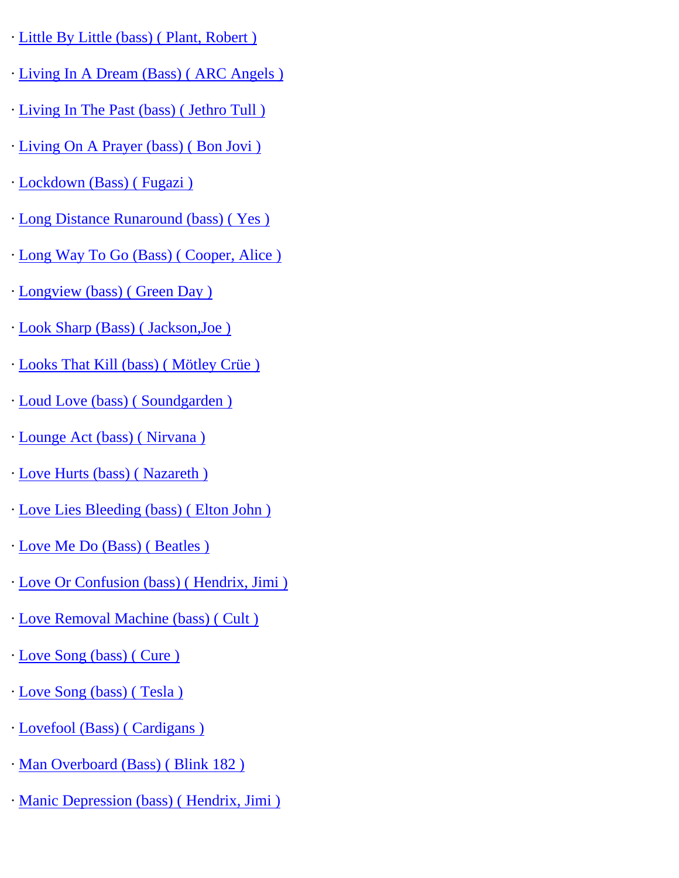- · [Little By Little \(bass\) \( Plant, Robert \)](http://www.guitarrangements.com/ItemPages/LittleByLittle(bass)(Plant,Robert).html)
- · [Living In A Dream \(Bass\) \( ARC Angels \)](http://www.guitarrangements.com/ItemPages/LivingInADream(Bass)(ARCAngels).html)
- · [Living In The Past \(bass\) \( Jethro Tull \)](http://www.guitarrangements.com/ItemPages/LivingInThePast(bass)(JethroTull).html)
- · [Living On A Prayer \(bass\) \( Bon Jovi \)](http://www.guitarrangements.com/ItemPages/LivingOnAPrayer(bass)(BonJovi).html)
- · [Lockdown \(Bass\) \( Fugazi \)](http://www.guitarrangements.com/ItemPages/Lockdown(Bass)(Fugazi).html)
- · [Long Distance Runaround \(bass\) \( Yes \)](http://www.guitarrangements.com/ItemPages/LongDistanceRunaround(bass)(Yes).html)
- · [Long Way To Go \(Bass\) \( Cooper, Alice \)](http://www.guitarrangements.com/ItemPages/LongWayToGo(Bass)(Cooper,Alice).html)
- · [Longview \(bass\) \( Green Day \)](http://www.guitarrangements.com/ItemPages/Longview(bass)(GreenDay).html)
- · [Look Sharp \(Bass\) \( Jackson,Joe \)](http://www.guitarrangements.com/ItemPages/LookSharp(Bass)(Jackson,Joe).html)
- · [Looks That Kill \(bass\) \( Mötley Crüe \)](http://www.guitarrangements.com/ItemPages/LooksThatKill(bass)(M�tleyCr�e).html)
- · [Loud Love \(bass\) \( Soundgarden \)](http://www.guitarrangements.com/ItemPages/LoudLove(bass)(Soundgarden).html)
- · [Lounge Act \(bass\) \( Nirvana \)](http://www.guitarrangements.com/ItemPages/LoungeAct(bass)(Nirvana).html)
- · [Love Hurts \(bass\) \( Nazareth \)](http://www.guitarrangements.com/ItemPages/LoveHurts(bass)(Nazareth).html)
- · [Love Lies Bleeding \(bass\) \( Elton John \)](http://www.guitarrangements.com/ItemPages/LoveLiesBleeding(bass)(EltonJohn).html)
- · [Love Me Do \(Bass\) \( Beatles \)](http://www.guitarrangements.com/ItemPages/LoveMeDo(Bass)(Beatles).html)
- · [Love Or Confusion \(bass\) \( Hendrix, Jimi \)](http://www.guitarrangements.com/ItemPages/LoveOrConfusion(bass)(Hendrix,Jimi).html)
- · [Love Removal Machine \(bass\) \( Cult \)](http://www.guitarrangements.com/ItemPages/LoveRemovalMachine(bass)(Cult).html)
- · [Love Song \(bass\) \( Cure \)](http://www.guitarrangements.com/ItemPages/LoveSong(bass)(Cure).html)
- · [Love Song \(bass\) \( Tesla \)](http://www.guitarrangements.com/ItemPages/LoveSong(bass)(Tesla).html)
- · [Lovefool \(Bass\) \( Cardigans \)](http://www.guitarrangements.com/ItemPages/Lovefool(Bass)(Cardigans).html)
- · [Man Overboard \(Bass\) \( Blink 182 \)](http://www.guitarrangements.com/ItemPages/ManOverboard(Bass)(Blink182).html)
- · [Manic Depression \(bass\) \( Hendrix, Jimi \)](http://www.guitarrangements.com/ItemPages/ManicDepression(bass)(Hendrix,Jimi).html)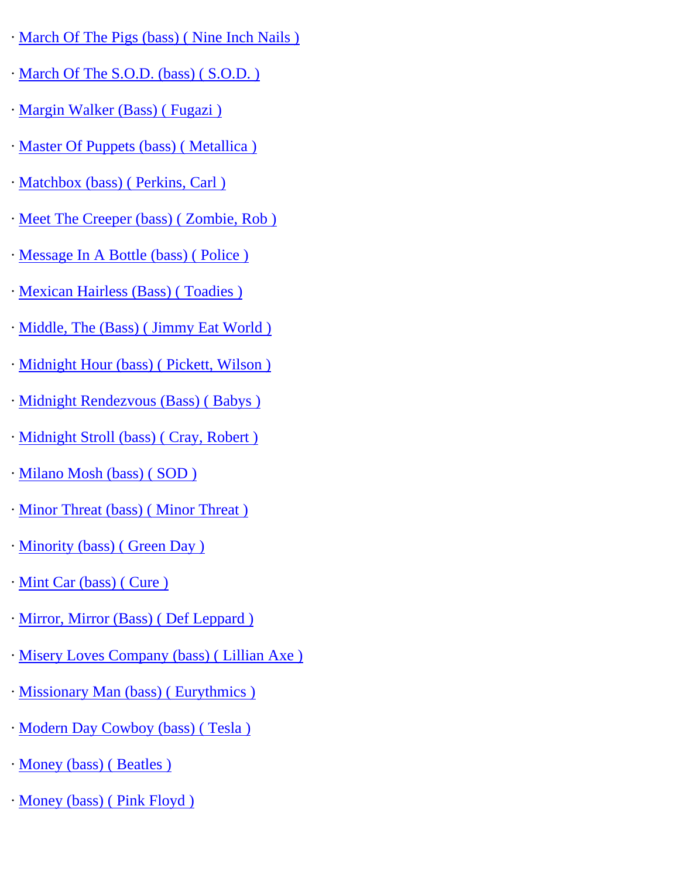- · [March Of The Pigs \(bass\) \( Nine Inch Nails \)](http://www.guitarrangements.com/ItemPages/MarchOfThePigs(bass)(NineInchNails).html)
- · [March Of The S.O.D. \(bass\) \( S.O.D. \)](http://www.guitarrangements.com/ItemPages/MarchOfTheS.O.D.(bass)(S.O.D.).html)
- · [Margin Walker \(Bass\) \( Fugazi \)](http://www.guitarrangements.com/ItemPages/MarginWalker(Bass)(Fugazi).html)
- · [Master Of Puppets \(bass\) \( Metallica \)](http://www.guitarrangements.com/ItemPages/MasterOfPuppets(bass)(Metallica).html)
- · [Matchbox \(bass\) \( Perkins, Carl \)](http://www.guitarrangements.com/ItemPages/Matchbox(bass)(Perkins,Carl).html)
- · [Meet The Creeper \(bass\) \( Zombie, Rob \)](http://www.guitarrangements.com/ItemPages/MeetTheCreeper(bass)(Zombie,Rob).html)
- · [Message In A Bottle \(bass\) \( Police \)](http://www.guitarrangements.com/ItemPages/MessageInABottle(bass)(Police).html)
- · [Mexican Hairless \(Bass\) \( Toadies \)](http://www.guitarrangements.com/ItemPages/MexicanHairless(Bass)(Toadies).html)
- · [Middle, The \(Bass\) \( Jimmy Eat World \)](http://www.guitarrangements.com/ItemPages/Middle,The(Bass)(JimmyEatWorld).html)
- · [Midnight Hour \(bass\) \( Pickett, Wilson \)](http://www.guitarrangements.com/ItemPages/MidnightHour(bass)(Pickett,Wilson).html)
- · [Midnight Rendezvous \(Bass\) \( Babys \)](http://www.guitarrangements.com/ItemPages/MidnightRendezvous(Bass)(Babys).html)
- · [Midnight Stroll \(bass\) \( Cray, Robert \)](http://www.guitarrangements.com/ItemPages/MidnightStroll(bass)(Cray,Robert).html)
- · [Milano Mosh \(bass\) \( SOD \)](http://www.guitarrangements.com/ItemPages/MilanoMosh(bass)(SOD).html)
- · [Minor Threat \(bass\) \( Minor Threat \)](http://www.guitarrangements.com/ItemPages/MinorThreat(bass)(MinorThreat).html)
- · [Minority \(bass\) \( Green Day \)](http://www.guitarrangements.com/ItemPages/Minority(bass)(GreenDay).html)
- · [Mint Car \(bass\) \( Cure \)](http://www.guitarrangements.com/ItemPages/MintCar(bass)(Cure).html)
- · [Mirror, Mirror \(Bass\) \( Def Leppard \)](http://www.guitarrangements.com/ItemPages/Mirror,Mirror(Bass)(DefLeppard).html)
- · [Misery Loves Company \(bass\) \( Lillian Axe \)](http://www.guitarrangements.com/ItemPages/MiseryLovesCompany(bass)(LillianAxe).html)
- · [Missionary Man \(bass\) \( Eurythmics \)](http://www.guitarrangements.com/ItemPages/MissionaryMan(bass)(Eurythmics).html)
- · [Modern Day Cowboy \(bass\) \( Tesla \)](http://www.guitarrangements.com/ItemPages/ModernDayCowboy(bass)(Tesla).html)
- · [Money \(bass\) \( Beatles \)](http://www.guitarrangements.com/ItemPages/Money(bass)(Beatles).html)
- · [Money \(bass\) \( Pink Floyd \)](http://www.guitarrangements.com/ItemPages/Money(bass)(PinkFloyd).html)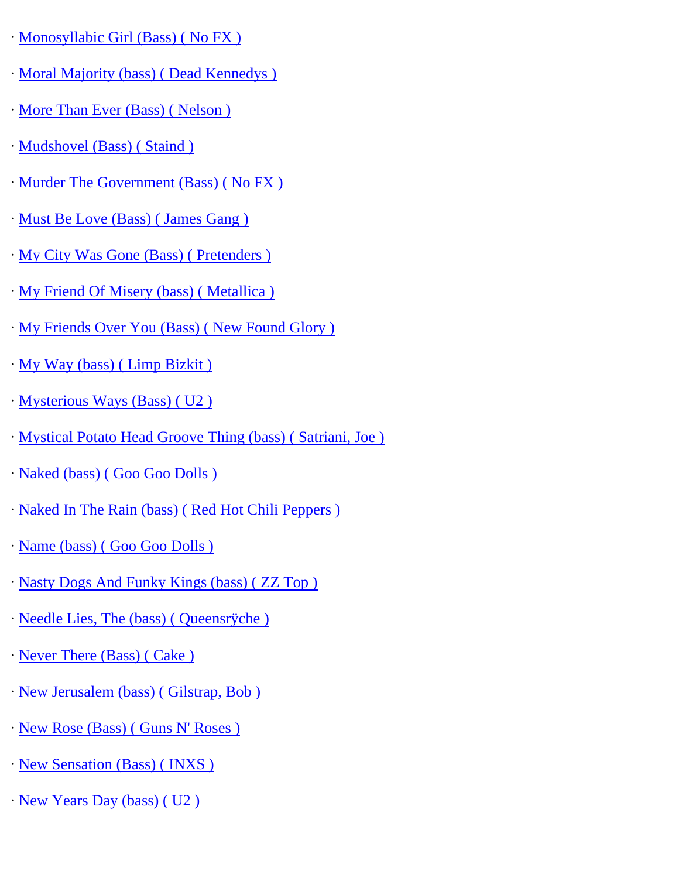- · [Monosyllabic Girl \(Bass\) \( No FX \)](http://www.guitarrangements.com/ItemPages/MonosyllabicGirl(Bass)(NoFX).html)
- · [Moral Majority \(bass\) \( Dead Kennedys \)](http://www.guitarrangements.com/ItemPages/MoralMajority(bass)(DeadKennedys).html)
- · [More Than Ever \(Bass\) \( Nelson \)](http://www.guitarrangements.com/ItemPages/MoreThanEver(Bass)(Nelson).html)
- · [Mudshovel \(Bass\) \( Staind \)](http://www.guitarrangements.com/ItemPages/Mudshovel(Bass)(Staind).html)
- · [Murder The Government \(Bass\) \( No FX \)](http://www.guitarrangements.com/ItemPages/MurderTheGovernment(Bass)(NoFX).html)
- · [Must Be Love \(Bass\) \( James Gang \)](http://www.guitarrangements.com/ItemPages/MustBeLove(Bass)(JamesGang).html)
- · [My City Was Gone \(Bass\) \( Pretenders \)](http://www.guitarrangements.com/ItemPages/MyCityWasGone(Bass)(Pretenders).html)
- · [My Friend Of Misery \(bass\) \( Metallica \)](http://www.guitarrangements.com/ItemPages/MyFriendOfMisery(bass)(Metallica).html)
- · [My Friends Over You \(Bass\) \( New Found Glory \)](http://www.guitarrangements.com/ItemPages/MyFriendsOverYou(Bass)(NewFoundGlory).html)
- · [My Way \(bass\) \( Limp Bizkit \)](http://www.guitarrangements.com/ItemPages/MyWay(bass)(LimpBizkit).html)
- · [Mysterious Ways \(Bass\) \( U2 \)](http://www.guitarrangements.com/ItemPages/MysteriousWays(Bass)(U2).html)
- · [Mystical Potato Head Groove Thing \(bass\) \( Satriani, Joe \)](http://www.guitarrangements.com/ItemPages/MysticalPotatoHeadGrooveThing(bass)(Satriani,Joe).html)
- · [Naked \(bass\) \( Goo Goo Dolls \)](http://www.guitarrangements.com/ItemPages/Naked(bass)(GooGooDolls).html)
- · [Naked In The Rain \(bass\) \( Red Hot Chili Peppers \)](http://www.guitarrangements.com/ItemPages/NakedInTheRain(bass)(RedHotChiliPeppers).html)
- · [Name \(bass\) \( Goo Goo Dolls \)](http://www.guitarrangements.com/ItemPages/Name(bass)(GooGooDolls).html)
- · [Nasty Dogs And Funky Kings \(bass\) \( ZZ Top \)](http://www.guitarrangements.com/ItemPages/NastyDogsAndFunkyKings(bass)(ZZTop).html)
- · [Needle Lies, The \(bass\) \( Queensrÿche \)](http://www.guitarrangements.com/ItemPages/NeedleLies,The(bass)(Queensr�che).html)
- · [Never There \(Bass\) \( Cake \)](http://www.guitarrangements.com/ItemPages/NeverThere(Bass)(Cake).html)
- · [New Jerusalem \(bass\) \( Gilstrap, Bob \)](http://www.guitarrangements.com/ItemPages/NewJerusalem(bass)(Gilstrap,Bob).html)
- · [New Rose \(Bass\) \( Guns N' Roses \)](http://www.guitarrangements.com/ItemPages/NewRose(Bass)(GunsN)
- · [New Sensation \(Bass\) \( INXS \)](http://www.guitarrangements.com/ItemPages/NewSensation(Bass)(INXS).html)
- · [New Years Day \(bass\) \( U2 \)](http://www.guitarrangements.com/ItemPages/NewYearsDay(bass)(U2).html)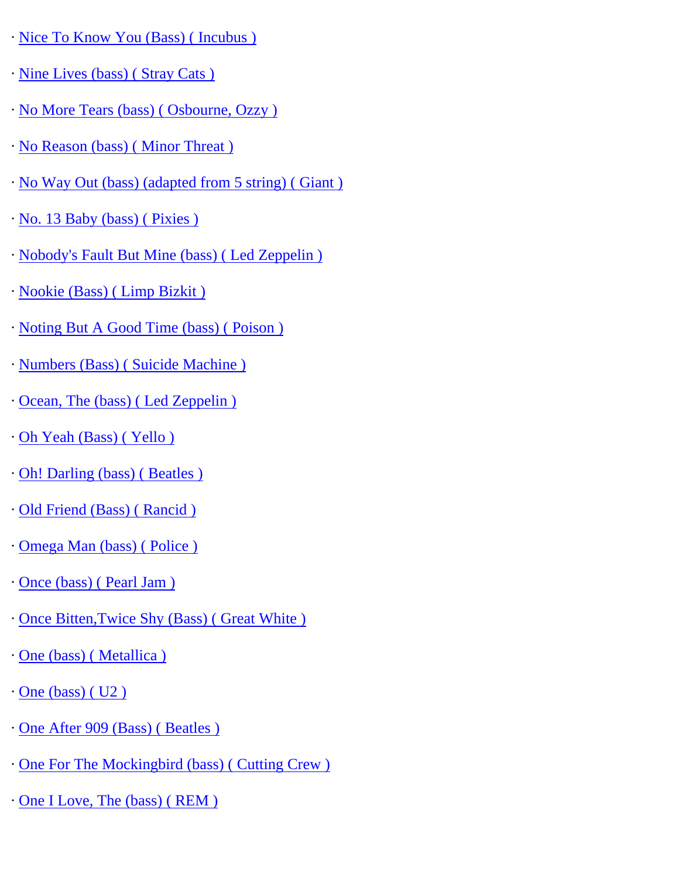- · [Nice To Know You \(Bass\) \( Incubus \)](http://www.guitarrangements.com/ItemPages/NiceToKnowYou(Bass)(Incubus).html)
- · [Nine Lives \(bass\) \( Stray Cats \)](http://www.guitarrangements.com/ItemPages/NineLives(bass)(StrayCats).html)
- · [No More Tears \(bass\) \( Osbourne, Ozzy \)](http://www.guitarrangements.com/ItemPages/NoMoreTears(bass)(Osbourne,Ozzy).html)
- · [No Reason \(bass\) \( Minor Threat \)](http://www.guitarrangements.com/ItemPages/NoReason(bass)(MinorThreat).html)
- · [No Way Out \(bass\) \(adapted from 5 string\) \( Giant \)](http://www.guitarrangements.com/ItemPages/NoWayOut(bass)(adaptedfrom5string)(Giant).html)
- · [No. 13 Baby \(bass\) \( Pixies \)](http://www.guitarrangements.com/ItemPages/No.13Baby(bass)(Pixies).html)
- · [Nobody's Fault But Mine \(bass\) \( Led Zeppelin \)](http://www.guitarrangements.com/ItemPages/Nobody)
- · [Nookie \(Bass\) \( Limp Bizkit \)](http://www.guitarrangements.com/ItemPages/Nookie(Bass)(LimpBizkit).html)
- · [Noting But A Good Time \(bass\) \( Poison \)](http://www.guitarrangements.com/ItemPages/NotingButAGoodTime(bass)(Poison).html)
- · [Numbers \(Bass\) \( Suicide Machine \)](http://www.guitarrangements.com/ItemPages/Numbers(Bass)(SuicideMachine).html)
- · [Ocean, The \(bass\) \( Led Zeppelin \)](http://www.guitarrangements.com/ItemPages/Ocean,The(bass)(LedZeppelin).html)
- · [Oh Yeah \(Bass\) \( Yello \)](http://www.guitarrangements.com/ItemPages/OhYeah(Bass)(Yello).html)
- · [Oh! Darling \(bass\) \( Beatles \)](http://www.guitarrangements.com/ItemPages/Oh!Darling(bass)(Beatles).html)
- · [Old Friend \(Bass\) \( Rancid \)](http://www.guitarrangements.com/ItemPages/OldFriend(Bass)(Rancid).html)
- · [Omega Man \(bass\) \( Police \)](http://www.guitarrangements.com/ItemPages/OmegaMan(bass)(Police).html)
- · [Once \(bass\) \( Pearl Jam \)](http://www.guitarrangements.com/ItemPages/Once(bass)(PearlJam).html)
- · [Once Bitten,Twice Shy \(Bass\) \( Great White \)](http://www.guitarrangements.com/ItemPages/OnceBitten,TwiceShy(Bass)(GreatWhite).html)
- · [One \(bass\) \( Metallica \)](http://www.guitarrangements.com/ItemPages/One(bass)(Metallica).html)
- · [One \(bass\) \( U2 \)](http://www.guitarrangements.com/ItemPages/One(bass)(U2).html)
- · [One After 909 \(Bass\) \( Beatles \)](http://www.guitarrangements.com/ItemPages/OneAfter909(Bass)(Beatles).html)
- · [One For The Mockingbird \(bass\) \( Cutting Crew \)](http://www.guitarrangements.com/ItemPages/OneForTheMockingbird(bass)(CuttingCrew).html)
- · [One I Love, The \(bass\) \( REM \)](http://www.guitarrangements.com/ItemPages/OneILove,The(bass)(REM).html)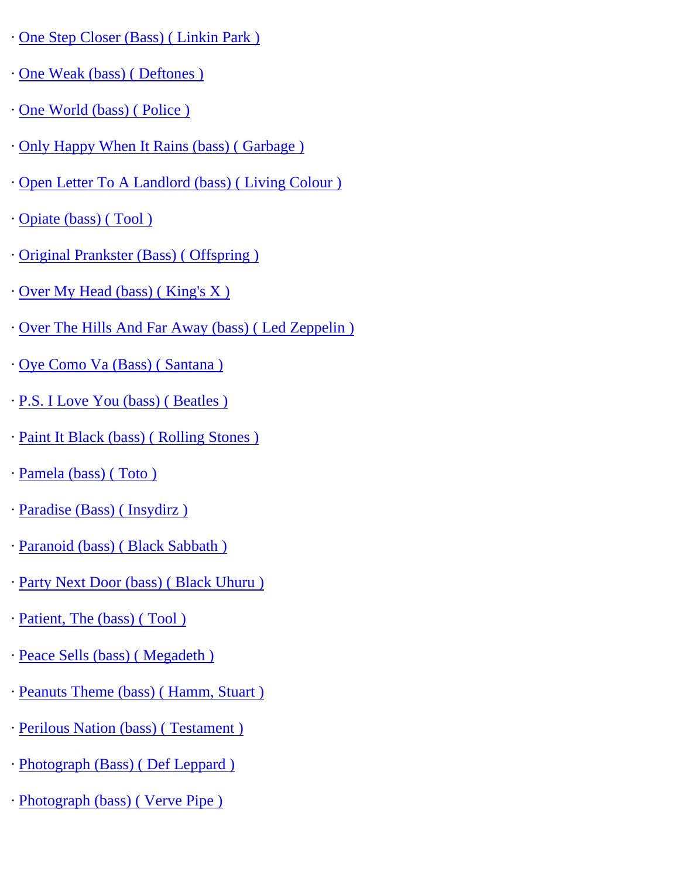- · [One Step Closer \(Bass\) \( Linkin Park \)](http://www.guitarrangements.com/ItemPages/OneStepCloser(Bass)(LinkinPark).html)
- · [One Weak \(bass\) \( Deftones \)](http://www.guitarrangements.com/ItemPages/OneWeak(bass)(Deftones).html)
- · [One World \(bass\) \( Police \)](http://www.guitarrangements.com/ItemPages/OneWorld(bass)(Police).html)
- · [Only Happy When It Rains \(bass\) \( Garbage \)](http://www.guitarrangements.com/ItemPages/OnlyHappyWhenItRains(bass)(Garbage).html)
- · [Open Letter To A Landlord \(bass\) \( Living Colour \)](http://www.guitarrangements.com/ItemPages/OpenLetterToALandlord(bass)(LivingColour).html)
- · [Opiate \(bass\) \( Tool \)](http://www.guitarrangements.com/ItemPages/Opiate(bass)(Tool).html)
- · [Original Prankster \(Bass\) \( Offspring \)](http://www.guitarrangements.com/ItemPages/OriginalPrankster(Bass)(Offspring).html)
- · [Over My Head \(bass\) \( King's X \)](http://www.guitarrangements.com/ItemPages/OverMyHead(bass)(King)
- · [Over The Hills And Far Away \(bass\) \( Led Zeppelin \)](http://www.guitarrangements.com/ItemPages/OverTheHillsAndFarAway(bass)(LedZeppelin).html)
- · [Oye Como Va \(Bass\) \( Santana \)](http://www.guitarrangements.com/ItemPages/OyeComoVa(Bass)(Santana).html)
- · [P.S. I Love You \(bass\) \( Beatles \)](http://www.guitarrangements.com/ItemPages/P.S.ILoveYou(bass)(Beatles).html)
- · [Paint It Black \(bass\) \( Rolling Stones \)](http://www.guitarrangements.com/ItemPages/PaintItBlack(bass)(RollingStones).html)
- · [Pamela \(bass\) \( Toto \)](http://www.guitarrangements.com/ItemPages/Pamela(bass)(Toto).html)
- · [Paradise \(Bass\) \( Insydirz \)](http://www.guitarrangements.com/ItemPages/Paradise(Bass)(Insydirz).html)
- · [Paranoid \(bass\) \( Black Sabbath \)](http://www.guitarrangements.com/ItemPages/Paranoid(bass)(BlackSabbath).html)
- · [Party Next Door \(bass\) \( Black Uhuru \)](http://www.guitarrangements.com/ItemPages/PartyNextDoor(bass)(BlackUhuru).html)
- · [Patient, The \(bass\) \( Tool \)](http://www.guitarrangements.com/ItemPages/Patient,The(bass)(Tool).html)
- · [Peace Sells \(bass\) \( Megadeth \)](http://www.guitarrangements.com/ItemPages/PeaceSells(bass)(Megadeth).html)
- · [Peanuts Theme \(bass\) \( Hamm, Stuart \)](http://www.guitarrangements.com/ItemPages/PeanutsTheme(bass)(Hamm,Stuart).html)
- · [Perilous Nation \(bass\) \( Testament \)](http://www.guitarrangements.com/ItemPages/PerilousNation(bass)(Testament).html)
- · [Photograph \(Bass\) \( Def Leppard \)](http://www.guitarrangements.com/ItemPages/Photograph(Bass)(DefLeppard).html)
- · [Photograph \(bass\) \( Verve Pipe \)](http://www.guitarrangements.com/ItemPages/Photograph(bass)(VervePipe).html)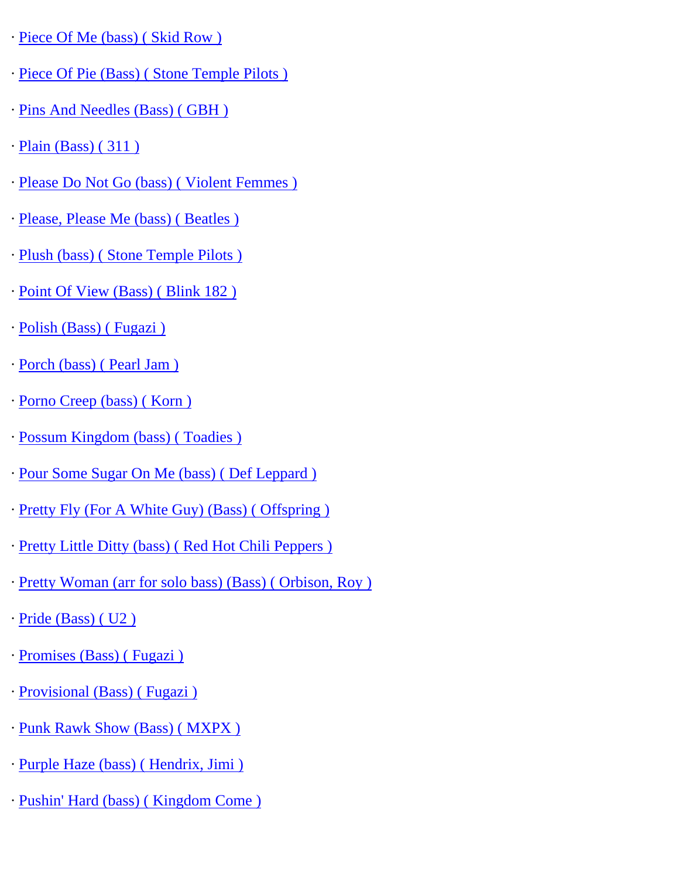- · [Piece Of Me \(bass\) \( Skid Row \)](http://www.guitarrangements.com/ItemPages/PieceOfMe(bass)(SkidRow).html)
- · [Piece Of Pie \(Bass\) \( Stone Temple Pilots \)](http://www.guitarrangements.com/ItemPages/PieceOfPie(Bass)(StoneTemplePilots).html)
- · [Pins And Needles \(Bass\) \( GBH \)](http://www.guitarrangements.com/ItemPages/PinsAndNeedles(Bass)(GBH).html)
- · [Plain \(Bass\) \( 311 \)](http://www.guitarrangements.com/ItemPages/Plain(Bass)(311).html)
- · [Please Do Not Go \(bass\) \( Violent Femmes \)](http://www.guitarrangements.com/ItemPages/PleaseDoNotGo(bass)(ViolentFemmes).html)
- · [Please, Please Me \(bass\) \( Beatles \)](http://www.guitarrangements.com/ItemPages/Please,PleaseMe(bass)(Beatles).html)
- · [Plush \(bass\) \( Stone Temple Pilots \)](http://www.guitarrangements.com/ItemPages/Plush(bass)(StoneTemplePilots).html)
- · [Point Of View \(Bass\) \( Blink 182 \)](http://www.guitarrangements.com/ItemPages/PointOfView(Bass)(Blink182).html)
- · [Polish \(Bass\) \( Fugazi \)](http://www.guitarrangements.com/ItemPages/Polish(Bass)(Fugazi).html)
- · [Porch \(bass\) \( Pearl Jam \)](http://www.guitarrangements.com/ItemPages/Porch(bass)(PearlJam).html)
- · [Porno Creep \(bass\) \( Korn \)](http://www.guitarrangements.com/ItemPages/PornoCreep(bass)(Korn).html)
- · [Possum Kingdom \(bass\) \( Toadies \)](http://www.guitarrangements.com/ItemPages/PossumKingdom(bass)(Toadies).html)
- · [Pour Some Sugar On Me \(bass\) \( Def Leppard \)](http://www.guitarrangements.com/ItemPages/PourSomeSugarOnMe(bass)(DefLeppard).html)
- · [Pretty Fly \(For A White Guy\) \(Bass\) \( Offspring \)](http://www.guitarrangements.com/ItemPages/PrettyFly(ForAWhiteGuy)(Bass)(Offspring).html)
- · [Pretty Little Ditty \(bass\) \( Red Hot Chili Peppers \)](http://www.guitarrangements.com/ItemPages/PrettyLittleDitty(bass)(RedHotChiliPeppers).html)
- · [Pretty Woman \(arr for solo bass\) \(Bass\) \( Orbison, Roy \)](http://www.guitarrangements.com/ItemPages/PrettyWoman(arrforsolobass)(Bass)(Orbison,Roy).html)
- · [Pride \(Bass\) \( U2 \)](http://www.guitarrangements.com/ItemPages/Pride(Bass)(U2).html)
- · [Promises \(Bass\) \( Fugazi \)](http://www.guitarrangements.com/ItemPages/Promises(Bass)(Fugazi).html)
- · [Provisional \(Bass\) \( Fugazi \)](http://www.guitarrangements.com/ItemPages/Provisional(Bass)(Fugazi).html)
- · [Punk Rawk Show \(Bass\) \( MXPX \)](http://www.guitarrangements.com/ItemPages/PunkRawkShow(Bass)(MXPX).html)
- · [Purple Haze \(bass\) \( Hendrix, Jimi \)](http://www.guitarrangements.com/ItemPages/PurpleHaze(bass)(Hendrix,Jimi).html)
- · [Pushin' Hard \(bass\) \( Kingdom Come \)](http://www.guitarrangements.com/ItemPages/Pushin)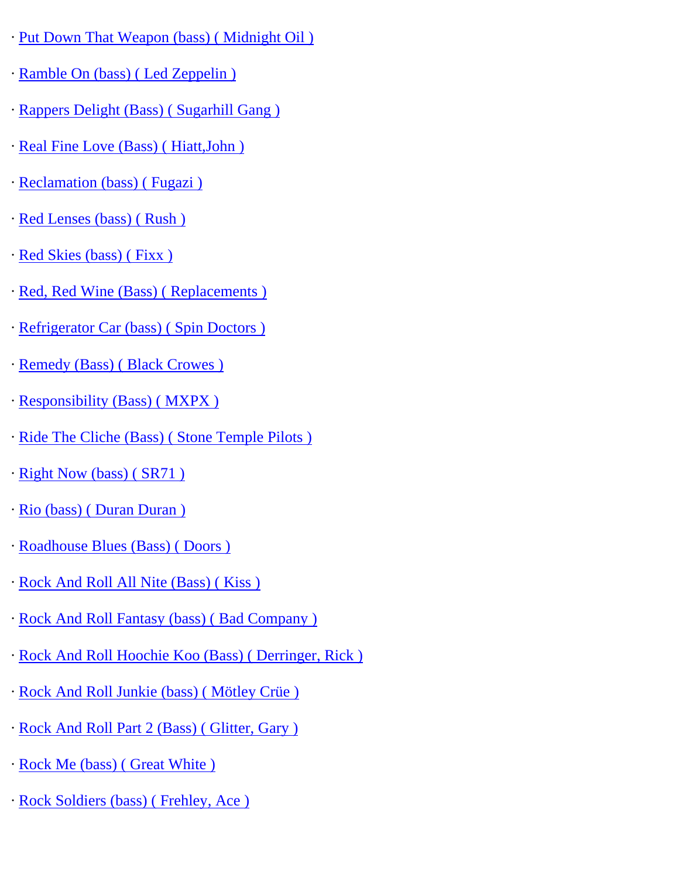- · [Put Down That Weapon \(bass\) \( Midnight Oil \)](http://www.guitarrangements.com/ItemPages/PutDownThatWeapon(bass)(MidnightOil).html)
- · [Ramble On \(bass\) \( Led Zeppelin \)](http://www.guitarrangements.com/ItemPages/RambleOn(bass)(LedZeppelin).html)
- · [Rappers Delight \(Bass\) \( Sugarhill Gang \)](http://www.guitarrangements.com/ItemPages/RappersDelight(Bass)(SugarhillGang).html)
- · [Real Fine Love \(Bass\) \( Hiatt,John \)](http://www.guitarrangements.com/ItemPages/RealFineLove(Bass)(Hiatt,John).html)
- · [Reclamation \(bass\) \( Fugazi \)](http://www.guitarrangements.com/ItemPages/Reclamation(bass)(Fugazi).html)
- · [Red Lenses \(bass\) \( Rush \)](http://www.guitarrangements.com/ItemPages/RedLenses(bass)(Rush).html)
- · [Red Skies \(bass\) \( Fixx \)](http://www.guitarrangements.com/ItemPages/RedSkies(bass)(Fixx).html)
- · [Red, Red Wine \(Bass\) \( Replacements \)](http://www.guitarrangements.com/ItemPages/Red,RedWine(Bass)(Replacements).html)
- · [Refrigerator Car \(bass\) \( Spin Doctors \)](http://www.guitarrangements.com/ItemPages/RefrigeratorCar(bass)(SpinDoctors).html)
- · [Remedy \(Bass\) \( Black Crowes \)](http://www.guitarrangements.com/ItemPages/Remedy(Bass)(BlackCrowes).html)
- · [Responsibility \(Bass\) \( MXPX \)](http://www.guitarrangements.com/ItemPages/Responsibility(Bass)(MXPX).html)
- · [Ride The Cliche \(Bass\) \( Stone Temple Pilots \)](http://www.guitarrangements.com/ItemPages/RideTheCliche(Bass)(StoneTemplePilots).html)
- · [Right Now \(bass\) \( SR71 \)](http://www.guitarrangements.com/ItemPages/RightNow(bass)(SR71).html)
- · [Rio \(bass\) \( Duran Duran \)](http://www.guitarrangements.com/ItemPages/Rio(bass)(DuranDuran).html)
- · [Roadhouse Blues \(Bass\) \( Doors \)](http://www.guitarrangements.com/ItemPages/RoadhouseBlues(Bass)(Doors).html)
- · [Rock And Roll All Nite \(Bass\) \( Kiss \)](http://www.guitarrangements.com/ItemPages/RockAndRollAllNite(Bass)(Kiss).html)
- · [Rock And Roll Fantasy \(bass\) \( Bad Company \)](http://www.guitarrangements.com/ItemPages/RockAndRollFantasy(bass)(BadCompany).html)
- · [Rock And Roll Hoochie Koo \(Bass\) \( Derringer, Rick \)](http://www.guitarrangements.com/ItemPages/RockAndRollHoochieKoo(Bass)(Derringer,Rick).html)
- · [Rock And Roll Junkie \(bass\) \( Mötley Crüe \)](http://www.guitarrangements.com/ItemPages/RockAndRollJunkie(bass)(M�tleyCr�e).html)
- · [Rock And Roll Part 2 \(Bass\) \( Glitter, Gary \)](http://www.guitarrangements.com/ItemPages/RockAndRollPart2(Bass)(Glitter,Gary).html)
- · [Rock Me \(bass\) \( Great White \)](http://www.guitarrangements.com/ItemPages/RockMe(bass)(GreatWhite).html)
- · [Rock Soldiers \(bass\) \( Frehley, Ace \)](http://www.guitarrangements.com/ItemPages/RockSoldiers(bass)(Frehley,Ace).html)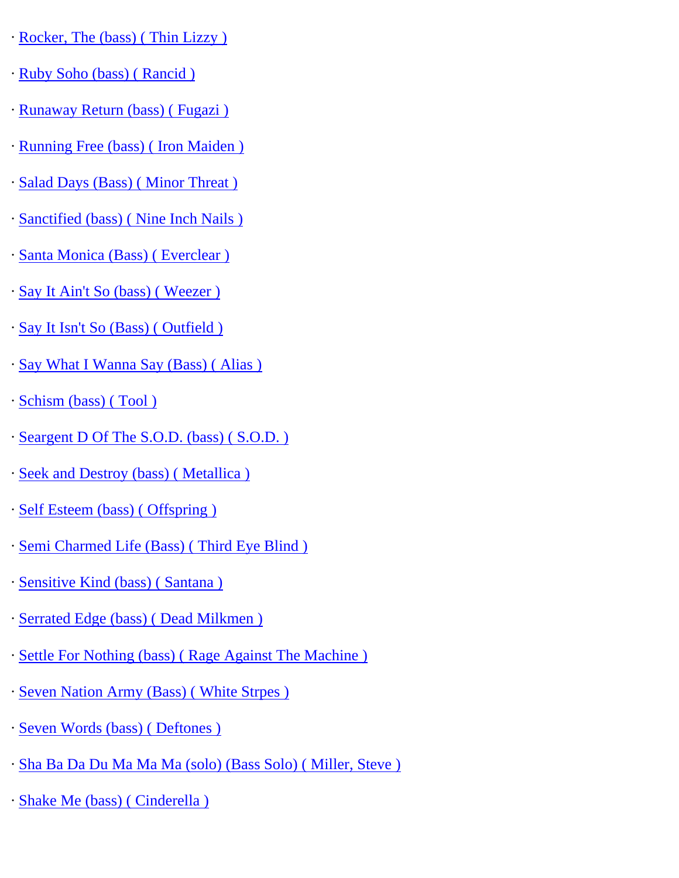- · [Rocker, The \(bass\) \( Thin Lizzy \)](http://www.guitarrangements.com/ItemPages/Rocker,The(bass)(ThinLizzy).html)
- · [Ruby Soho \(bass\) \( Rancid \)](http://www.guitarrangements.com/ItemPages/RubySoho(bass)(Rancid).html)
- · [Runaway Return \(bass\) \( Fugazi \)](http://www.guitarrangements.com/ItemPages/RunawayReturn(bass)(Fugazi).html)
- · [Running Free \(bass\) \( Iron Maiden \)](http://www.guitarrangements.com/ItemPages/RunningFree(bass)(IronMaiden).html)
- · [Salad Days \(Bass\) \( Minor Threat \)](http://www.guitarrangements.com/ItemPages/SaladDays(Bass)(MinorThreat).html)
- · [Sanctified \(bass\) \( Nine Inch Nails \)](http://www.guitarrangements.com/ItemPages/Sanctified(bass)(NineInchNails).html)
- · [Santa Monica \(Bass\) \( Everclear \)](http://www.guitarrangements.com/ItemPages/SantaMonica(Bass)(Everclear).html)
- · [Say It Ain't So \(bass\) \( Weezer \)](http://www.guitarrangements.com/ItemPages/SayItAin)
- · [Say It Isn't So \(Bass\) \( Outfield \)](http://www.guitarrangements.com/ItemPages/SayItIsn)
- · [Say What I Wanna Say \(Bass\) \( Alias \)](http://www.guitarrangements.com/ItemPages/SayWhatIWannaSay(Bass)(Alias).html)
- · [Schism \(bass\) \( Tool \)](http://www.guitarrangements.com/ItemPages/Schism(bass)(Tool).html)
- · [Seargent D Of The S.O.D. \(bass\) \( S.O.D. \)](http://www.guitarrangements.com/ItemPages/SeargentDOfTheS.O.D.(bass)(S.O.D.).html)
- · [Seek and Destroy \(bass\) \( Metallica \)](http://www.guitarrangements.com/ItemPages/SeekandDestroy(bass)(Metallica).html)
- · [Self Esteem \(bass\) \( Offspring \)](http://www.guitarrangements.com/ItemPages/SelfEsteem(bass)(Offspring).html)
- · [Semi Charmed Life \(Bass\) \( Third Eye Blind \)](http://www.guitarrangements.com/ItemPages/SemiCharmedLife(Bass)(ThirdEyeBlind).html)
- · [Sensitive Kind \(bass\) \( Santana \)](http://www.guitarrangements.com/ItemPages/SensitiveKind(bass)(Santana).html)
- · [Serrated Edge \(bass\) \( Dead Milkmen \)](http://www.guitarrangements.com/ItemPages/SerratedEdge(bass)(DeadMilkmen).html)
- · [Settle For Nothing \(bass\) \( Rage Against The Machine \)](http://www.guitarrangements.com/ItemPages/SettleForNothing(bass)(RageAgainstTheMachine).html)
- · [Seven Nation Army \(Bass\) \( White Strpes \)](http://www.guitarrangements.com/ItemPages/SevenNationArmy(Bass)(WhiteStrpes).html)
- · [Seven Words \(bass\) \( Deftones \)](http://www.guitarrangements.com/ItemPages/SevenWords(bass)(Deftones).html)
- · [Sha Ba Da Du Ma Ma Ma \(solo\) \(Bass Solo\) \( Miller, Steve \)](http://www.guitarrangements.com/ItemPages/ShaBaDaDuMaMaMa(solo)(BassSolo)(Miller,Steve).html)
- · [Shake Me \(bass\) \( Cinderella \)](http://www.guitarrangements.com/ItemPages/ShakeMe(bass)(Cinderella).html)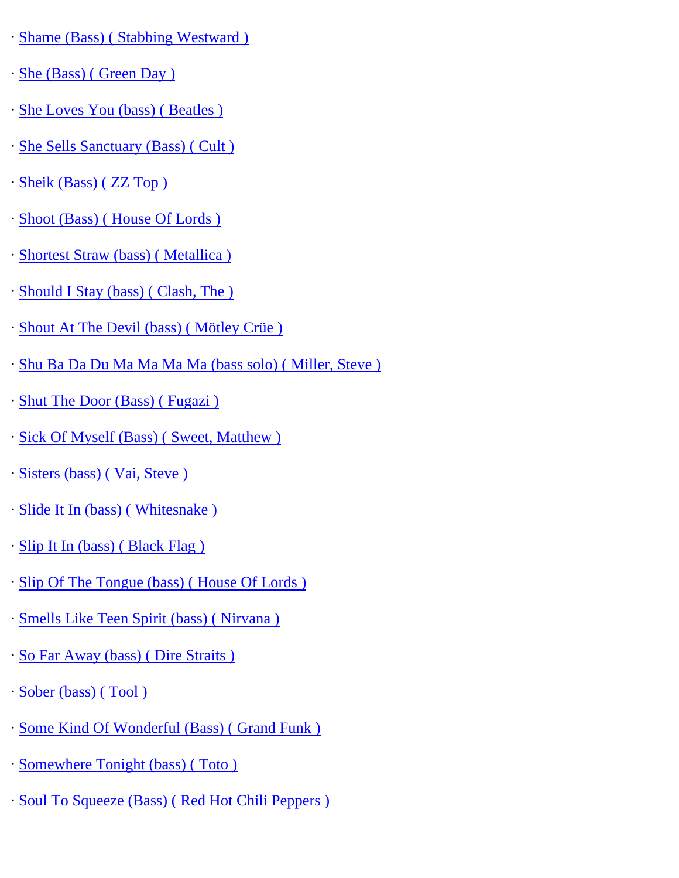- · [Shame \(Bass\) \( Stabbing Westward \)](http://www.guitarrangements.com/ItemPages/Shame(Bass)(StabbingWestward).html)
- · [She \(Bass\) \( Green Day \)](http://www.guitarrangements.com/ItemPages/She(Bass)(GreenDay).html)
- · [She Loves You \(bass\) \( Beatles \)](http://www.guitarrangements.com/ItemPages/SheLovesYou(bass)(Beatles).html)
- · [She Sells Sanctuary \(Bass\) \( Cult \)](http://www.guitarrangements.com/ItemPages/SheSellsSanctuary(Bass)(Cult).html)
- · [Sheik \(Bass\) \( ZZ Top \)](http://www.guitarrangements.com/ItemPages/Sheik(Bass)(ZZTop).html)
- · [Shoot \(Bass\) \( House Of Lords \)](http://www.guitarrangements.com/ItemPages/Shoot(Bass)(HouseOfLords).html)
- · [Shortest Straw \(bass\) \( Metallica \)](http://www.guitarrangements.com/ItemPages/ShortestStraw(bass)(Metallica).html)
- · [Should I Stay \(bass\) \( Clash, The \)](http://www.guitarrangements.com/ItemPages/ShouldIStay(bass)(Clash,The).html)
- · [Shout At The Devil \(bass\) \( Mötley Crüe \)](http://www.guitarrangements.com/ItemPages/ShoutAtTheDevil(bass)(M�tleyCr�e).html)
- · [Shu Ba Da Du Ma Ma Ma Ma \(bass solo\) \( Miller, Steve \)](http://www.guitarrangements.com/ItemPages/ShuBaDaDuMaMaMaMa(basssolo)(Miller,Steve).html)
- · [Shut The Door \(Bass\) \( Fugazi \)](http://www.guitarrangements.com/ItemPages/ShutTheDoor(Bass)(Fugazi).html)
- · [Sick Of Myself \(Bass\) \( Sweet, Matthew \)](http://www.guitarrangements.com/ItemPages/SickOfMyself(Bass)(Sweet,Matthew).html)
- · [Sisters \(bass\) \( Vai, Steve \)](http://www.guitarrangements.com/ItemPages/Sisters(bass)(Vai,Steve).html)
- · [Slide It In \(bass\) \( Whitesnake \)](http://www.guitarrangements.com/ItemPages/SlideItIn(bass)(Whitesnake).html)
- · [Slip It In \(bass\) \( Black Flag \)](http://www.guitarrangements.com/ItemPages/SlipItIn(bass)(BlackFlag).html)
- · [Slip Of The Tongue \(bass\) \( House Of Lords \)](http://www.guitarrangements.com/ItemPages/SlipOfTheTongue(bass)(HouseOfLords).html)
- · [Smells Like Teen Spirit \(bass\) \( Nirvana \)](http://www.guitarrangements.com/ItemPages/SmellsLikeTeenSpirit(bass)(Nirvana).html)
- · [So Far Away \(bass\) \( Dire Straits \)](http://www.guitarrangements.com/ItemPages/SoFarAway(bass)(DireStraits).html)
- · [Sober \(bass\) \( Tool \)](http://www.guitarrangements.com/ItemPages/Sober(bass)(Tool).html)
- · [Some Kind Of Wonderful \(Bass\) \( Grand Funk \)](http://www.guitarrangements.com/ItemPages/SomeKindOfWonderful(Bass)(GrandFunk).html)
- · [Somewhere Tonight \(bass\) \( Toto \)](http://www.guitarrangements.com/ItemPages/SomewhereTonight(bass)(Toto).html)
- · [Soul To Squeeze \(Bass\) \( Red Hot Chili Peppers \)](http://www.guitarrangements.com/ItemPages/SoulToSqueeze(Bass)(RedHotChiliPeppers).html)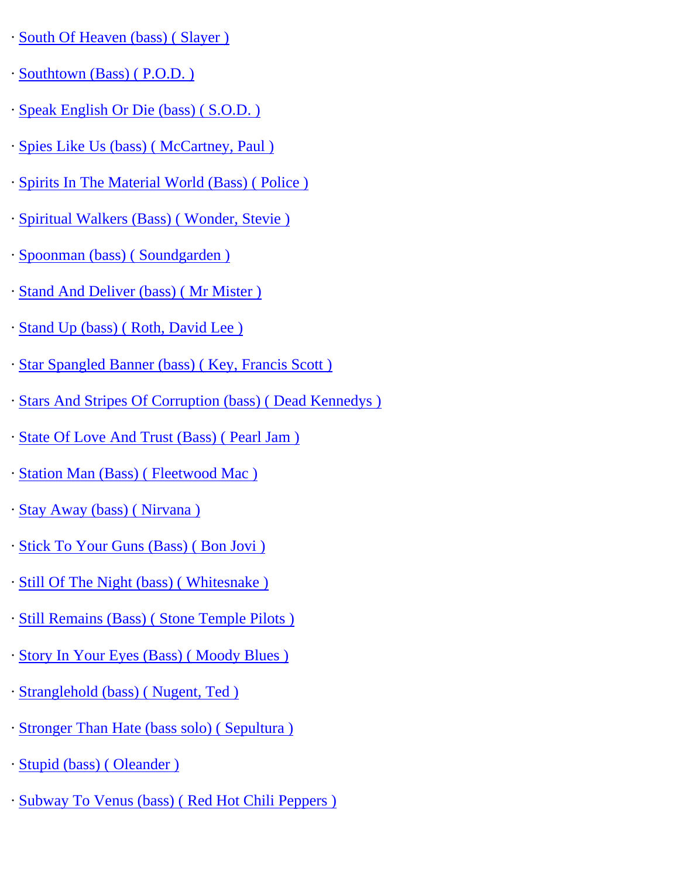- · [South Of Heaven \(bass\) \( Slayer \)](http://www.guitarrangements.com/ItemPages/SouthOfHeaven(bass)(Slayer).html)
- · [Southtown \(Bass\) \( P.O.D. \)](http://www.guitarrangements.com/ItemPages/Southtown(Bass)(P.O.D.).html)
- · [Speak English Or Die \(bass\) \( S.O.D. \)](http://www.guitarrangements.com/ItemPages/SpeakEnglishOrDie(bass)(S.O.D.).html)
- · [Spies Like Us \(bass\) \( McCartney, Paul \)](http://www.guitarrangements.com/ItemPages/SpiesLikeUs(bass)(McCartney,Paul).html)
- · [Spirits In The Material World \(Bass\) \( Police \)](http://www.guitarrangements.com/ItemPages/SpiritsInTheMaterialWorld(Bass)(Police).html)
- · [Spiritual Walkers \(Bass\) \( Wonder, Stevie \)](http://www.guitarrangements.com/ItemPages/SpiritualWalkers(Bass)(Wonder,Stevie).html)
- · [Spoonman \(bass\) \( Soundgarden \)](http://www.guitarrangements.com/ItemPages/Spoonman(bass)(Soundgarden).html)
- · [Stand And Deliver \(bass\) \( Mr Mister \)](http://www.guitarrangements.com/ItemPages/StandAndDeliver(bass)(MrMister).html)
- · [Stand Up \(bass\) \( Roth, David Lee \)](http://www.guitarrangements.com/ItemPages/StandUp(bass)(Roth,DavidLee).html)
- · [Star Spangled Banner \(bass\) \( Key, Francis Scott \)](http://www.guitarrangements.com/ItemPages/StarSpangledBanner(bass)(Key,FrancisScott).html)
- · [Stars And Stripes Of Corruption \(bass\) \( Dead Kennedys \)](http://www.guitarrangements.com/ItemPages/StarsAndStripesOfCorruption(bass)(DeadKennedys).html)
- · [State Of Love And Trust \(Bass\) \( Pearl Jam \)](http://www.guitarrangements.com/ItemPages/StateOfLoveAndTrust(Bass)(PearlJam).html)
- · [Station Man \(Bass\) \( Fleetwood Mac \)](http://www.guitarrangements.com/ItemPages/StationMan(Bass)(FleetwoodMac).html)
- · [Stay Away \(bass\) \( Nirvana \)](http://www.guitarrangements.com/ItemPages/StayAway(bass)(Nirvana).html)
- · [Stick To Your Guns \(Bass\) \( Bon Jovi \)](http://www.guitarrangements.com/ItemPages/StickToYourGuns(Bass)(BonJovi).html)
- · [Still Of The Night \(bass\) \( Whitesnake \)](http://www.guitarrangements.com/ItemPages/StillOfTheNight(bass)(Whitesnake).html)
- · [Still Remains \(Bass\) \( Stone Temple Pilots \)](http://www.guitarrangements.com/ItemPages/StillRemains(Bass)(StoneTemplePilots).html)
- · [Story In Your Eyes \(Bass\) \( Moody Blues \)](http://www.guitarrangements.com/ItemPages/StoryInYourEyes(Bass)(MoodyBlues).html)
- · [Stranglehold \(bass\) \( Nugent, Ted \)](http://www.guitarrangements.com/ItemPages/Stranglehold(bass)(Nugent,Ted).html)
- · [Stronger Than Hate \(bass solo\) \( Sepultura \)](http://www.guitarrangements.com/ItemPages/StrongerThanHate(basssolo)(Sepultura).html)
- · [Stupid \(bass\) \( Oleander \)](http://www.guitarrangements.com/ItemPages/Stupid(bass)(Oleander).html)
- · [Subway To Venus \(bass\) \( Red Hot Chili Peppers \)](http://www.guitarrangements.com/ItemPages/SubwayToVenus(bass)(RedHotChiliPeppers).html)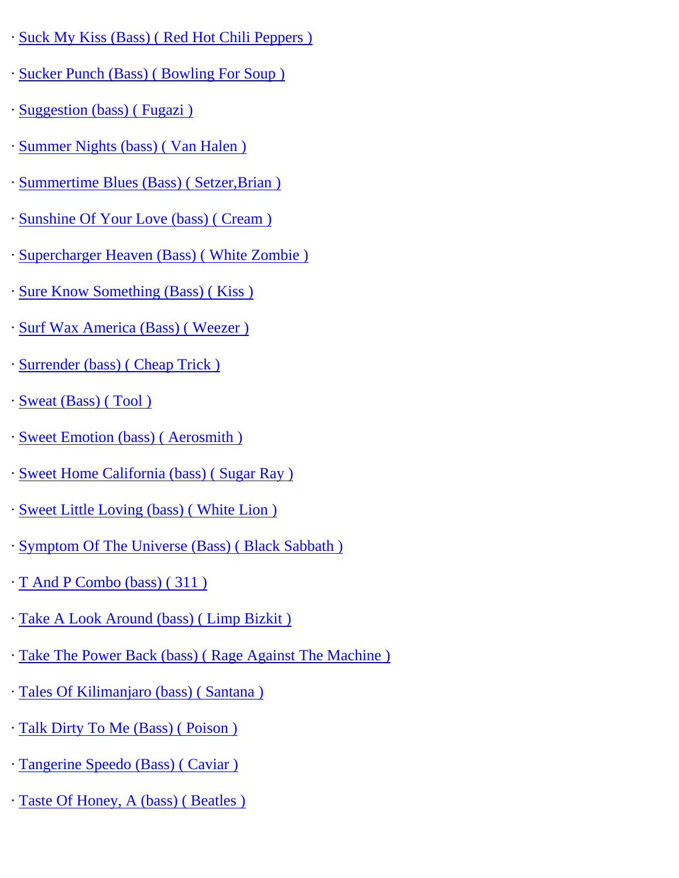- · [Suck My Kiss \(Bass\) \( Red Hot Chili Peppers \)](http://www.guitarrangements.com/ItemPages/SuckMyKiss(Bass)(RedHotChiliPeppers).html)
- · [Sucker Punch \(Bass\) \( Bowling For Soup \)](http://www.guitarrangements.com/ItemPages/SuckerPunch(Bass)(BowlingForSoup).html)
- · [Suggestion \(bass\) \( Fugazi \)](http://www.guitarrangements.com/ItemPages/Suggestion(bass)(Fugazi).html)
- · [Summer Nights \(bass\) \( Van Halen \)](http://www.guitarrangements.com/ItemPages/SummerNights(bass)(VanHalen).html)
- · [Summertime Blues \(Bass\) \( Setzer,Brian \)](http://www.guitarrangements.com/ItemPages/SummertimeBlues(Bass)(Setzer,Brian).html)
- · [Sunshine Of Your Love \(bass\) \( Cream \)](http://www.guitarrangements.com/ItemPages/SunshineOfYourLove(bass)(Cream).html)
- · [Supercharger Heaven \(Bass\) \( White Zombie \)](http://www.guitarrangements.com/ItemPages/SuperchargerHeaven(Bass)(WhiteZombie).html)
- · [Sure Know Something \(Bass\) \( Kiss \)](http://www.guitarrangements.com/ItemPages/SureKnowSomething(Bass)(Kiss).html)
- · [Surf Wax America \(Bass\) \( Weezer \)](http://www.guitarrangements.com/ItemPages/SurfWaxAmerica(Bass)(Weezer).html)
- · [Surrender \(bass\) \( Cheap Trick \)](http://www.guitarrangements.com/ItemPages/Surrender(bass)(CheapTrick).html)
- · [Sweat \(Bass\) \( Tool \)](http://www.guitarrangements.com/ItemPages/Sweat(Bass)(Tool).html)
- · [Sweet Emotion \(bass\) \( Aerosmith \)](http://www.guitarrangements.com/ItemPages/SweetEmotion(bass)(Aerosmith).html)
- · [Sweet Home California \(bass\) \( Sugar Ray \)](http://www.guitarrangements.com/ItemPages/SweetHomeCalifornia(bass)(SugarRay).html)
- · [Sweet Little Loving \(bass\) \( White Lion \)](http://www.guitarrangements.com/ItemPages/SweetLittleLoving(bass)(WhiteLion).html)
- · [Symptom Of The Universe \(Bass\) \( Black Sabbath \)](http://www.guitarrangements.com/ItemPages/SymptomOfTheUniverse(Bass)(BlackSabbath).html)
- · [T And P Combo \(bass\) \( 311 \)](http://www.guitarrangements.com/ItemPages/TAndPCombo(bass)(311).html)
- · [Take A Look Around \(bass\) \( Limp Bizkit \)](http://www.guitarrangements.com/ItemPages/TakeALookAround(bass)(LimpBizkit).html)
- · [Take The Power Back \(bass\) \( Rage Against The Machine \)](http://www.guitarrangements.com/ItemPages/TakeThePowerBack(bass)(RageAgainstTheMachine).html)
- · [Tales Of Kilimanjaro \(bass\) \( Santana \)](http://www.guitarrangements.com/ItemPages/TalesOfKilimanjaro(bass)(Santana).html)
- · [Talk Dirty To Me \(Bass\) \( Poison \)](http://www.guitarrangements.com/ItemPages/TalkDirtyToMe(Bass)(Poison).html)
- · [Tangerine Speedo \(Bass\) \( Caviar \)](http://www.guitarrangements.com/ItemPages/TangerineSpeedo(Bass)(Caviar).html)
- · [Taste Of Honey, A \(bass\) \( Beatles \)](http://www.guitarrangements.com/ItemPages/TasteOfHoney,A(bass)(Beatles).html)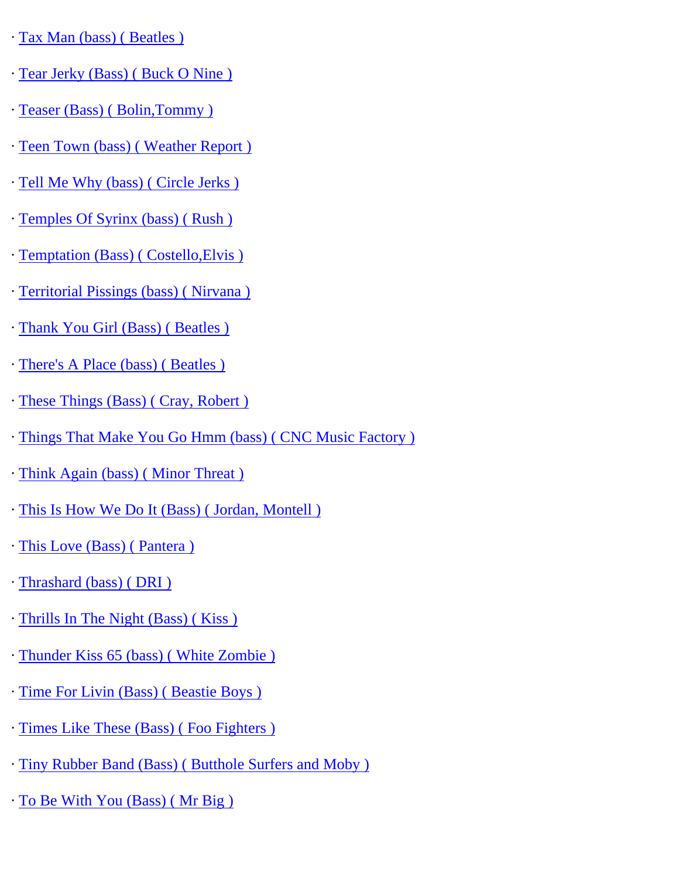- · [Tax Man \(bass\) \( Beatles \)](http://www.guitarrangements.com/ItemPages/TaxMan(bass)(Beatles).html)
- · [Tear Jerky \(Bass\) \( Buck O Nine \)](http://www.guitarrangements.com/ItemPages/TearJerky(Bass)(BuckONine).html)
- · [Teaser \(Bass\) \( Bolin,Tommy \)](http://www.guitarrangements.com/ItemPages/Teaser(Bass)(Bolin,Tommy).html)
- · [Teen Town \(bass\) \( Weather Report \)](http://www.guitarrangements.com/ItemPages/TeenTown(bass)(WeatherReport).html)
- · [Tell Me Why \(bass\) \( Circle Jerks \)](http://www.guitarrangements.com/ItemPages/TellMeWhy(bass)(CircleJerks).html)
- · [Temples Of Syrinx \(bass\) \( Rush \)](http://www.guitarrangements.com/ItemPages/TemplesOfSyrinx(bass)(Rush).html)
- · [Temptation \(Bass\) \( Costello,Elvis \)](http://www.guitarrangements.com/ItemPages/Temptation(Bass)(Costello,Elvis).html)
- · [Territorial Pissings \(bass\) \( Nirvana \)](http://www.guitarrangements.com/ItemPages/TerritorialPissings(bass)(Nirvana).html)
- · [Thank You Girl \(Bass\) \( Beatles \)](http://www.guitarrangements.com/ItemPages/ThankYouGirl(Bass)(Beatles).html)
- · [There's A Place \(bass\) \( Beatles \)](http://www.guitarrangements.com/ItemPages/There)
- · [These Things \(Bass\) \( Cray, Robert \)](http://www.guitarrangements.com/ItemPages/TheseThings(Bass)(Cray,Robert).html)
- · [Things That Make You Go Hmm \(bass\) \( CNC Music Factory \)](http://www.guitarrangements.com/ItemPages/ThingsThatMakeYouGoHmm(bass)(CNCMusicFactory).html)
- · [Think Again \(bass\) \( Minor Threat \)](http://www.guitarrangements.com/ItemPages/ThinkAgain(bass)(MinorThreat).html)
- · [This Is How We Do It \(Bass\) \( Jordan, Montell \)](http://www.guitarrangements.com/ItemPages/ThisIsHowWeDoIt(Bass)(Jordan,Montell).html)
- · [This Love \(Bass\) \( Pantera \)](http://www.guitarrangements.com/ItemPages/ThisLove(Bass)(Pantera).html)
- · [Thrashard \(bass\) \( DRI \)](http://www.guitarrangements.com/ItemPages/Thrashard(bass)(DRI).html)
- · [Thrills In The Night \(Bass\) \( Kiss \)](http://www.guitarrangements.com/ItemPages/ThrillsInTheNight(Bass)(Kiss).html)
- · [Thunder Kiss 65 \(bass\) \( White Zombie \)](http://www.guitarrangements.com/ItemPages/ThunderKiss65(bass)(WhiteZombie).html)
- · [Time For Livin \(Bass\) \( Beastie Boys \)](http://www.guitarrangements.com/ItemPages/TimeForLivin(Bass)(BeastieBoys).html)
- · [Times Like These \(Bass\) \( Foo Fighters \)](http://www.guitarrangements.com/ItemPages/TimesLikeThese(Bass)(FooFighters).html)
- · [Tiny Rubber Band \(Bass\) \( Butthole Surfers and Moby \)](http://www.guitarrangements.com/ItemPages/TinyRubberBand(Bass)(ButtholeSurfersandMoby).html)
- · [To Be With You \(Bass\) \( Mr Big \)](http://www.guitarrangements.com/ItemPages/ToBeWithYou(Bass)(MrBig).html)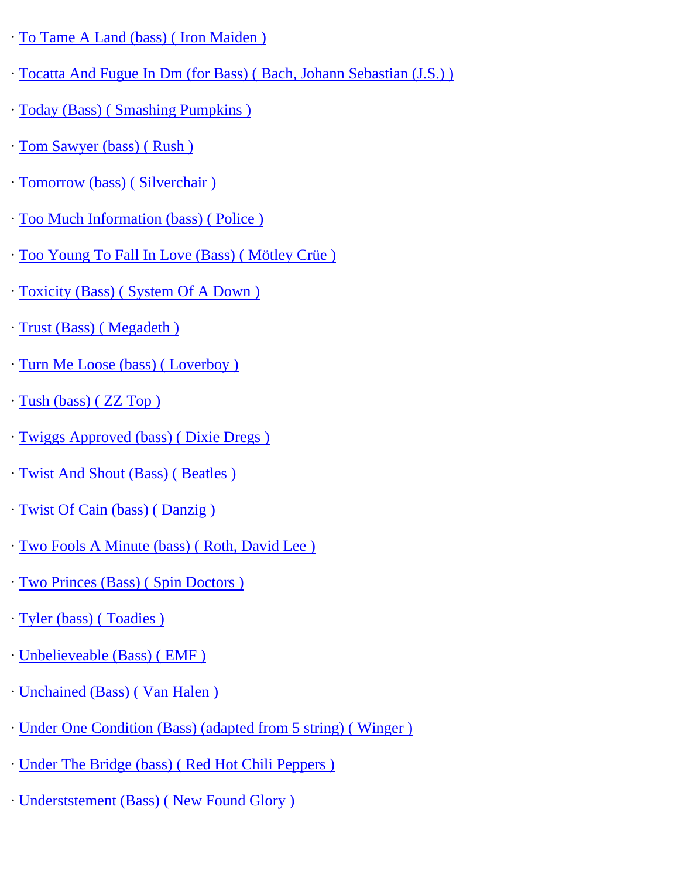- · [To Tame A Land \(bass\) \( Iron Maiden \)](http://www.guitarrangements.com/ItemPages/ToTameALand(bass)(IronMaiden).html)
- · [Tocatta And Fugue In Dm \(for Bass\) \( Bach, Johann Sebastian \(J.S.\) \)](http://www.guitarrangements.com/ItemPages/TocattaAndFugueInDm(forBass)(Bach,JohannSebastian(J.S.)).html)
- · [Today \(Bass\) \( Smashing Pumpkins \)](http://www.guitarrangements.com/ItemPages/Today(Bass)(SmashingPumpkins).html)
- · [Tom Sawyer \(bass\) \( Rush \)](http://www.guitarrangements.com/ItemPages/TomSawyer(bass)(Rush).html)
- · [Tomorrow \(bass\) \( Silverchair \)](http://www.guitarrangements.com/ItemPages/Tomorrow(bass)(Silverchair).html)
- · [Too Much Information \(bass\) \( Police \)](http://www.guitarrangements.com/ItemPages/TooMuchInformation(bass)(Police).html)
- · [Too Young To Fall In Love \(Bass\) \( Mötley Crüe \)](http://www.guitarrangements.com/ItemPages/TooYoungToFallInLove(Bass)(M�tleyCr�e).html)
- · [Toxicity \(Bass\) \( System Of A Down \)](http://www.guitarrangements.com/ItemPages/Toxicity(Bass)(SystemOfADown).html)
- · [Trust \(Bass\) \( Megadeth \)](http://www.guitarrangements.com/ItemPages/Trust(Bass)(Megadeth).html)
- · [Turn Me Loose \(bass\) \( Loverboy \)](http://www.guitarrangements.com/ItemPages/TurnMeLoose(bass)(Loverboy).html)
- · [Tush \(bass\) \( ZZ Top \)](http://www.guitarrangements.com/ItemPages/Tush(bass)(ZZTop).html)
- · [Twiggs Approved \(bass\) \( Dixie Dregs \)](http://www.guitarrangements.com/ItemPages/TwiggsApproved(bass)(DixieDregs).html)
- · [Twist And Shout \(Bass\) \( Beatles \)](http://www.guitarrangements.com/ItemPages/TwistAndShout(Bass)(Beatles).html)
- · [Twist Of Cain \(bass\) \( Danzig \)](http://www.guitarrangements.com/ItemPages/TwistOfCain(bass)(Danzig).html)
- · [Two Fools A Minute \(bass\) \( Roth, David Lee \)](http://www.guitarrangements.com/ItemPages/TwoFoolsAMinute(bass)(Roth,DavidLee).html)
- · [Two Princes \(Bass\) \( Spin Doctors \)](http://www.guitarrangements.com/ItemPages/TwoPrinces(Bass)(SpinDoctors).html)
- · [Tyler \(bass\) \( Toadies \)](http://www.guitarrangements.com/ItemPages/Tyler(bass)(Toadies).html)
- · [Unbelieveable \(Bass\) \( EMF \)](http://www.guitarrangements.com/ItemPages/Unbelieveable(Bass)(EMF).html)
- · [Unchained \(Bass\) \( Van Halen \)](http://www.guitarrangements.com/ItemPages/Unchained(Bass)(VanHalen).html)
- · [Under One Condition \(Bass\) \(adapted from 5 string\) \( Winger \)](http://www.guitarrangements.com/ItemPages/UnderOneCondition(Bass)(adaptedfrom5string)(Winger).html)
- · [Under The Bridge \(bass\) \( Red Hot Chili Peppers \)](http://www.guitarrangements.com/ItemPages/UnderTheBridge(bass)(RedHotChiliPeppers).html)
- · [Underststement \(Bass\) \( New Found Glory \)](http://www.guitarrangements.com/ItemPages/Underststement(Bass)(NewFoundGlory).html)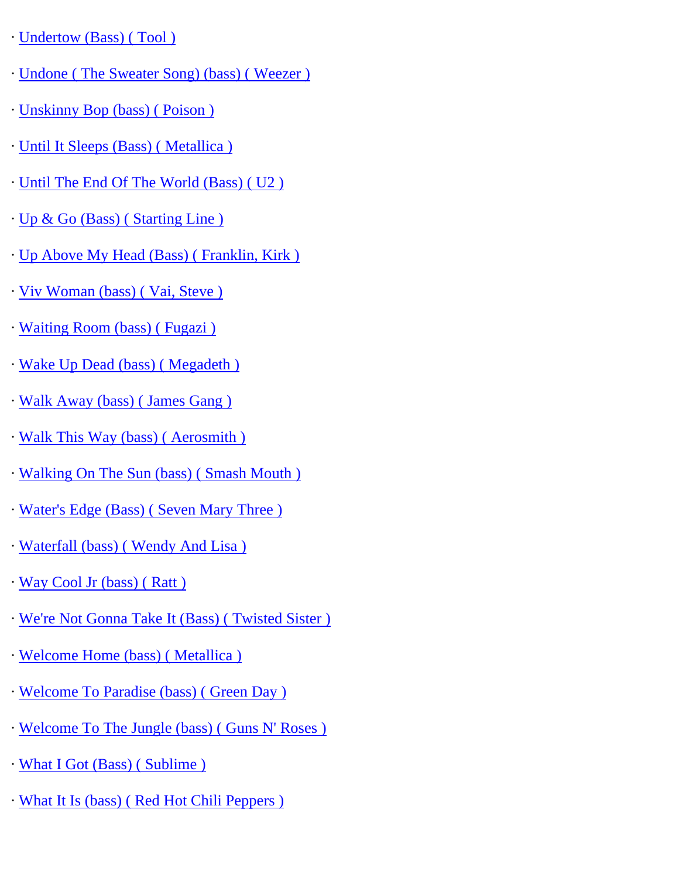- · [Undertow \(Bass\) \( Tool \)](http://www.guitarrangements.com/ItemPages/Undertow(Bass)(Tool).html)
- · [Undone \( The Sweater Song\) \(bass\) \( Weezer \)](http://www.guitarrangements.com/ItemPages/Undone(TheSweaterSong)(bass)(Weezer).html)
- · [Unskinny Bop \(bass\) \( Poison \)](http://www.guitarrangements.com/ItemPages/UnskinnyBop(bass)(Poison).html)
- · [Until It Sleeps \(Bass\) \( Metallica \)](http://www.guitarrangements.com/ItemPages/UntilItSleeps(Bass)(Metallica).html)
- · [Until The End Of The World \(Bass\) \( U2 \)](http://www.guitarrangements.com/ItemPages/UntilTheEndOfTheWorld(Bass)(U2).html)
- · [Up & Go \(Bass\) \( Starting Line \)](http://www.guitarrangements.com/ItemPages/Up&Go(Bass)(StartingLine).html)
- · [Up Above My Head \(Bass\) \( Franklin, Kirk \)](http://www.guitarrangements.com/ItemPages/UpAboveMyHead(Bass)(Franklin,Kirk).html)
- · [Viv Woman \(bass\) \( Vai, Steve \)](http://www.guitarrangements.com/ItemPages/VivWoman(bass)(Vai,Steve).html)
- · [Waiting Room \(bass\) \( Fugazi \)](http://www.guitarrangements.com/ItemPages/WaitingRoom(bass)(Fugazi).html)
- · [Wake Up Dead \(bass\) \( Megadeth \)](http://www.guitarrangements.com/ItemPages/WakeUpDead(bass)(Megadeth).html)
- · [Walk Away \(bass\) \( James Gang \)](http://www.guitarrangements.com/ItemPages/WalkAway(bass)(JamesGang).html)
- · [Walk This Way \(bass\) \( Aerosmith \)](http://www.guitarrangements.com/ItemPages/WalkThisWay(bass)(Aerosmith).html)
- · [Walking On The Sun \(bass\) \( Smash Mouth \)](http://www.guitarrangements.com/ItemPages/WalkingOnTheSun(bass)(SmashMouth).html)
- · [Water's Edge \(Bass\) \( Seven Mary Three \)](http://www.guitarrangements.com/ItemPages/Water)
- · [Waterfall \(bass\) \( Wendy And Lisa \)](http://www.guitarrangements.com/ItemPages/Waterfall(bass)(WendyAndLisa).html)
- · [Way Cool Jr \(bass\) \( Ratt \)](http://www.guitarrangements.com/ItemPages/WayCoolJr(bass)(Ratt).html)
- · [We're Not Gonna Take It \(Bass\) \( Twisted Sister \)](http://www.guitarrangements.com/ItemPages/We)
- · [Welcome Home \(bass\) \( Metallica \)](http://www.guitarrangements.com/ItemPages/WelcomeHome(bass)(Metallica).html)
- · [Welcome To Paradise \(bass\) \( Green Day \)](http://www.guitarrangements.com/ItemPages/WelcomeToParadise(bass)(GreenDay).html)
- · [Welcome To The Jungle \(bass\) \( Guns N' Roses \)](http://www.guitarrangements.com/ItemPages/WelcomeToTheJungle(bass)(GunsN)
- · [What I Got \(Bass\) \( Sublime \)](http://www.guitarrangements.com/ItemPages/WhatIGot(Bass)(Sublime).html)
- · [What It Is \(bass\) \( Red Hot Chili Peppers \)](http://www.guitarrangements.com/ItemPages/WhatItIs(bass)(RedHotChiliPeppers).html)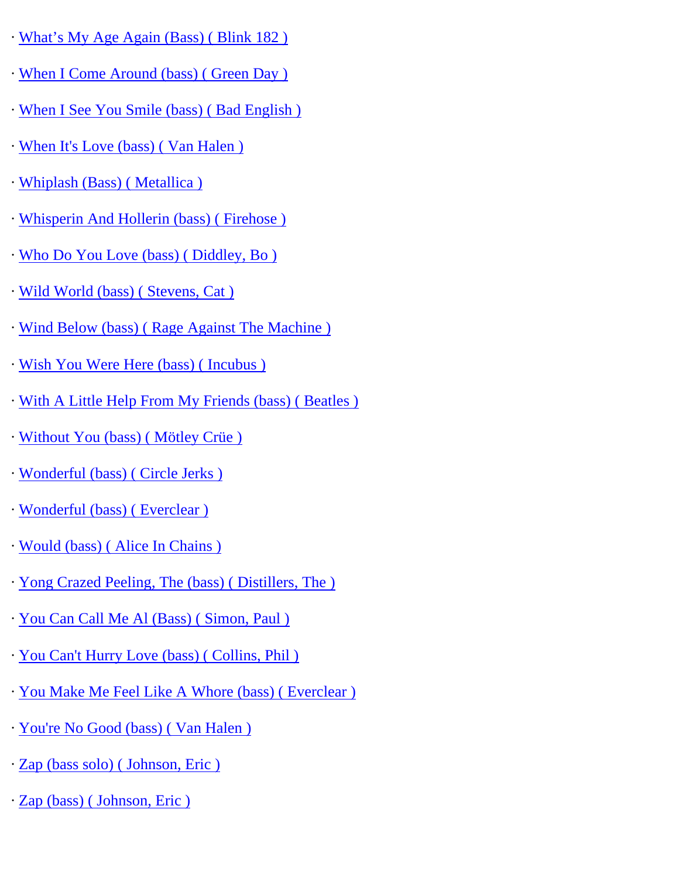- · [What's My Age Again \(Bass\) \( Blink 182 \)](http://www.guitarrangements.com/ItemPages/What%E2%80%99sMyAgeAgain(Bass)(Blink182).html)
- · [When I Come Around \(bass\) \( Green Day \)](http://www.guitarrangements.com/ItemPages/WhenIComeAround(bass)(GreenDay).html)
- · [When I See You Smile \(bass\) \( Bad English \)](http://www.guitarrangements.com/ItemPages/WhenISeeYouSmile(bass)(BadEnglish).html)
- · [When It's Love \(bass\) \( Van Halen \)](http://www.guitarrangements.com/ItemPages/WhenIt)
- · [Whiplash \(Bass\) \( Metallica \)](http://www.guitarrangements.com/ItemPages/Whiplash(Bass)(Metallica).html)
- · [Whisperin And Hollerin \(bass\) \( Firehose \)](http://www.guitarrangements.com/ItemPages/WhisperinAndHollerin(bass)(Firehose).html)
- · [Who Do You Love \(bass\) \( Diddley, Bo \)](http://www.guitarrangements.com/ItemPages/WhoDoYouLove(bass)(Diddley,Bo).html)
- · [Wild World \(bass\) \( Stevens, Cat \)](http://www.guitarrangements.com/ItemPages/WildWorld(bass)(Stevens,Cat).html)
- · [Wind Below \(bass\) \( Rage Against The Machine \)](http://www.guitarrangements.com/ItemPages/WindBelow(bass)(RageAgainstTheMachine).html)
- · [Wish You Were Here \(bass\) \( Incubus \)](http://www.guitarrangements.com/ItemPages/WishYouWereHere(bass)(Incubus).html)
- · [With A Little Help From My Friends \(bass\) \( Beatles \)](http://www.guitarrangements.com/ItemPages/WithALittleHelpFromMyFriends(bass)(Beatles).html)
- · [Without You \(bass\) \( Mötley Crüe \)](http://www.guitarrangements.com/ItemPages/WithoutYou(bass)(M�tleyCr�e).html)
- · [Wonderful \(bass\) \( Circle Jerks \)](http://www.guitarrangements.com/ItemPages/Wonderful(bass)(CircleJerks).html)
- · [Wonderful \(bass\) \( Everclear \)](http://www.guitarrangements.com/ItemPages/Wonderful(bass)(Everclear).html)
- · [Would \(bass\) \( Alice In Chains \)](http://www.guitarrangements.com/ItemPages/Would(bass)(AliceInChains).html)
- · [Yong Crazed Peeling, The \(bass\) \( Distillers, The \)](http://www.guitarrangements.com/ItemPages/YongCrazedPeeling,The(bass)(Distillers,The).html)
- · [You Can Call Me Al \(Bass\) \( Simon, Paul \)](http://www.guitarrangements.com/ItemPages/YouCanCallMeAl(Bass)(Simon,Paul).html)
- · [You Can't Hurry Love \(bass\) \( Collins, Phil \)](http://www.guitarrangements.com/ItemPages/YouCan)
- · [You Make Me Feel Like A Whore \(bass\) \( Everclear \)](http://www.guitarrangements.com/ItemPages/YouMakeMeFeelLikeAWhore(bass)(Everclear).html)
- · [You're No Good \(bass\) \( Van Halen \)](http://www.guitarrangements.com/ItemPages/You)
- · [Zap \(bass solo\) \( Johnson, Eric \)](http://www.guitarrangements.com/ItemPages/Zap(basssolo)(Johnson,Eric).html)
- · [Zap \(bass\) \( Johnson, Eric \)](http://www.guitarrangements.com/ItemPages/Zap(bass)(Johnson,Eric).html)